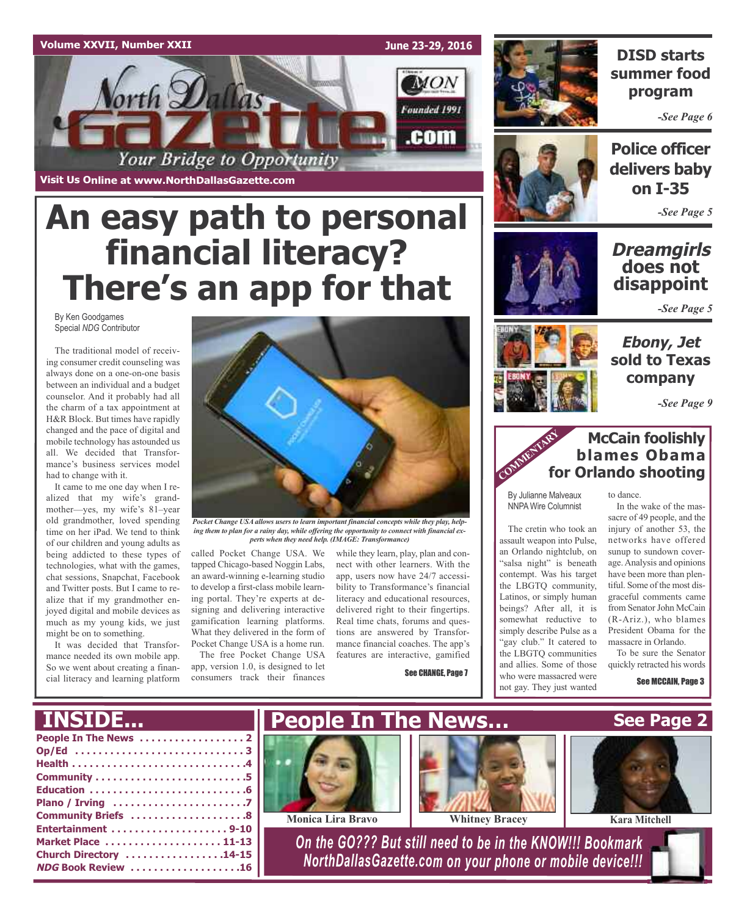### **Volume XXVII, Number XXII**



**Visit Us Online at www.NorthDallasGazette.com**

# **An easy path to personal financial literacy? There's an app for that**

By Ken Goodgames Special *NDG* Contributor

The traditional model of receiving consumer credit counseling was always done on a one-on-one basis between an individual and a budget counselor. And it probably had all the charm of a tax appointment at H&R Block. But times have rapidly changed and the pace of digital and mobile technology has astounded us all. We decided that Transformance's business services model had to change with it.

It came to me one day when I realized that my wife's grandmother—yes, my wife's 81–year old grandmother, loved spending time on her iPad. We tend to think of our children and young adults as being addicted to these types of technologies, what with the games, chat sessions, Snapchat, Facebook and Twitter posts. But I came to realize that if my grandmother enjoyed digital and mobile devices as much as my young kids, we just might be on to something.

It was decided that Transformance needed its own mobile app. So we went about creating a financial literacy and learning platform



*Pocket Change USAallows users to learn important financial concepts while they play, helping them to plan for a rainy day, while offering the opportunity to connect with financial experts when they need help. (IMAGE: Transformance)*

called Pocket Change USA. We tapped Chicago-based Noggin Labs, an award-winning e-learning studio to develop a first-class mobile learning portal. They're experts at designing and delivering interactive gamification learning platforms. What they delivered in the form of Pocket Change USA is a home run.

The free Pocket Change USA app, version 1.0, is designed to let consumers track their finances

while they learn, play, plan and connect with other learners. With the app, users now have 24/7 accessibility to Transformance's financial literacy and educational resources, delivered right to their fingertips. Real time chats, forums and questions are answered by Transformance financial coaches. The app's features are interactive, gamified

See CHANGE, Page 7



### **DISD starts summer food program**

*-See Page 6*



**Police officer delivers baby on I-35**

*-See Page 5*

### **Dreamgirls does not disappoint**

*-See Page 5*



**Ebony, Jet sold to Texas company**

*-See Page 9*

### **McCain foolishly blames Obama for Orlando shooting** COMMENTARY FO

By Julianne Malveaux NNPA Wire Columnist

The cretin who took an assault weapon into Pulse, an Orlando nightclub, on "salsa night" is beneath contempt. Was his target the LBGTQ community, Latinos, or simply human beings? After all, it is somewhat reductive to simply describe Pulse as a "gay club." It catered to the LBGTQ communities and allies. Some of those who were massacred were not gay. They just wanted

to dance.

In the wake of the massacre of 49 people, and the injury of another 53, the networks have offered sunup to sundown coverage.Analysis and opinions have been more than plentiful. Some of the most disgraceful comments came from Senator John McCain (R-Ariz.), who blames President Obama for the massacre in Orlando.

To be sure the Senator quickly retracted his words

See MCCAIN, Page 3

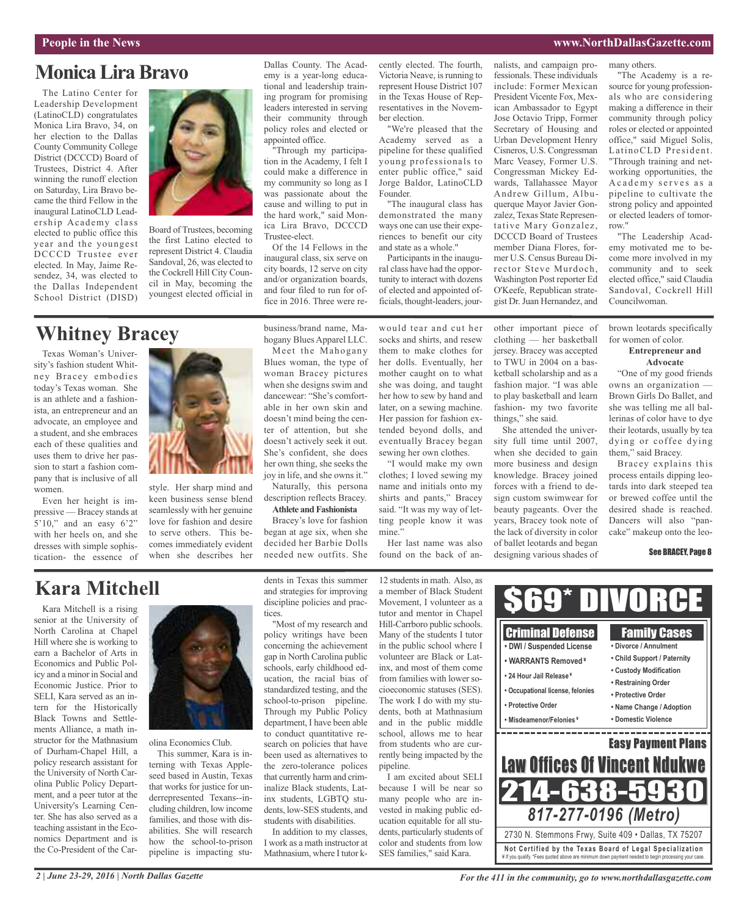#### **People in the News www.NorthDallasGazette.com**

### **MonicaLiraBravo**

The Latino Center for Leadership Development (LatinoCLD) congratulates Monica Lira Bravo, 34, on her election to the Dallas County Community College District (DCCCD) Board of Trustees, District 4. After winning the runoff election on Saturday, Lira Bravo became the third Fellow in the inaugural LatinoCLD Leadership Academy class elected to public office this year and the youngest DCCCD Trustee ever elected. In May, Jaime Resendez, 34, was elected to the Dallas Independent School District (DISD)



Board of Trustees, becoming the first Latino elected to represent District 4. Claudia Sandoval, 26, was elected to the Cockrell Hill City Council in May, becoming the youngest elected official in

#### Dallas County. The Academy is a year-long educational and leadership training program for promising leaders interested in serving their community through policy roles and elected or appointed office.

"Through my participation in the Academy, I felt I could make a difference in my community so long as I was passionate about the cause and willing to put in the hard work," said Monica Lira Bravo, DCCCD Trustee-elect.

Of the 14 Fellows in the inaugural class, six serve on city boards, 12 serve on city and/or organization boards, and four filed to run for office in 2016. Three were recently elected. The fourth, Victoria Neave, is running to represent House District 107 in the Texas House of Representatives in the November election.

"We're pleased that the Academy served as a pipeline for these qualified young professionals to enter public office," said Jorge Baldor, LatinoCLD Founder.

"The inaugural class has demonstrated the many ways one can use their experiences to benefit our city and state as a whole."

Participants in the inaugural class have had the opportunity to interact with dozens of elected and appointed officials, thought-leaders, journalists, and campaign professionals. These individuals include: Former Mexican President Vicente Fox, Mexican Ambassador to Egypt Jose Octavio Tripp, Former Secretary of Housing and Urban Development Henry Cisneros, U.S. Congressman Marc Veasey, Former U.S. Congressman Mickey Edwards, Tallahassee Mayor Andrew Gillum, Albuquerque Mayor Javier Gonzalez, Texas State Representative Mary Gonzalez, DCCCD Board of Trustees member Diana Flores, former U.S. Census Bureau Director Steve Murdoch, Washington Post reporter Ed O'Keefe, Republican strategist Dr.Juan Hernandez, and

many others.

"The Academy is a resource for young professionals who are considering making a difference in their community through policy roles or elected or appointed office," said Miguel Solis, LatinoCLD President. "Through training and networking opportunities, the A c a d emy serves as a pipeline to cultivate the strong policy and appointed or elected leaders of tomorrow."

"The Leadership Academy motivated me to become more involved in my community and to seek elected office," said Claudia Sandoval, Cockrell Hill Councilwoman.

### **Whitney Bracey**

Texas Woman's University's fashion student Whitney Bracey embodies today's Texas woman. She is an athlete and a fashionista, an entrepreneur and an advocate, an employee and a student, and she embraces each of these qualities and uses them to drive her passion to start a fashion company that is inclusive of all women.

Even her height is impressive — Bracey stands at 5'10," and an easy 6'2" with her heels on, and she dresses with simple sophistication- the essence of



style. Her sharp mind and keen business sense blend seamlessly with her genuine love for fashion and desire to serve others. This becomes immediately evident when she describes her business/brand name, Mahogany Blues Apparel LLC.

Meet the Mahogany Blues woman, the type of woman Bracey pictures when she designs swim and dancewear: "She's comfortable in her own skin and doesn't mind being the center of attention, but she doesn't actively seek it out. She's confident, she does her own thing, she seeks the joy in life, and she owns it."

Naturally, this persona description reflects Bracey. **Athlete andFashionista**

Bracey's love for fashion began at age six, when she decided her Barbie Dolls needed new outfits. She

would tear and cut her socks and shirts, and resew them to make clothes for her dolls. Eventually, her mother caught on to what she was doing, and taught her how to sew by hand and later, on a sewing machine. Her passion for fashion extended beyond dolls, and eventually Bracey began sewing her own clothes.

"I would make my own clothes; I loved sewing my name and initials onto my shirts and pants," Bracey said. "It was my way of letting people know it was mine."

Her last name was also found on the back of another important piece of clothing — her basketball jersey. Bracey was accepted to TWU in 2004 on a basketball scholarship and as a fashion major. "I was able to play basketball and learn fashion- my two favorite things," she said.

She attended the university full time until 2007, when she decided to gain more business and design knowledge. Bracey joined forces with a friend to design custom swimwear for beauty pageants. Over the years, Bracey took note of the lack of diversity in color of ballet leotards and began designing various shades of brown leotards specifically for women of color.

#### **Entrepreneur and Advocate**

"One of my good friends owns an organization — Brown Girls Do Ballet, and she was telling me all ballerinas of color have to dye their leotards, usually by tea dying or coffee dying them," said Bracey.

Bracey explains this process entails dipping leotards into dark steeped tea or brewed coffee until the desired shade is reached. Dancers will also "pancake" makeup onto the leo-

#### See BRACEY, Page 8

### **Kara Mitchell**

Kara Mitchell is a rising senior at the University of North Carolina at Chapel Hill where she is working to earn a Bachelor of Arts in Economics and Public Policy and a minor in Social and Economic Justice. Prior to SELI, Kara served as an intern for the Historically Black Towns and Settlements Alliance, a math instructor for the Mathnasium of Durham-Chapel Hill, a policy research assistant for the University of North Carolina Public Policy Department, and a peer tutor at the University's Learning Center. She has also served as a teaching assistant in the Economics Department and is the Co-President of the Car-



#### olina Economics Club.

This summer, Kara is interning with Texas Appleseed based in Austin, Texas that works for justice for underrepresented Texans--including children, low income families, and those with disabilities. She will research how the school-to-prison pipeline is impacting students in Texas this summer and strategies for improving discipline policies and practices.

"Most of my research and policy writings have been concerning the achievement gap in North Carolina public schools, early childhood education, the racial bias of standardized testing, and the school-to-prison pipeline. Through my Public Policy department, I have been able to conduct quantitative research on policies that have been used as alternatives to the zero-tolerance polices that currently harm and criminalize Black students, Latinx students, LGBTQ students, low-SES students, and students with disabilities.

In addition to my classes, I work as a math instructor at Mathnasium, where I tutor k12 students in math. Also, as a member of Black Student Movement, I volunteer as a tutor and mentor in Chapel Hill-Carrboro public schools. Many of the students I tutor in the public school where I volunteer are Black or Latinx, and most of them come from families with lower socioeconomic statuses (SES). The work I do with my students, both at Mathnasium and in the public middle school, allows me to hear from students who are currently being impacted by the pipeline.

I am excited about SELI because I will be near so many people who are invested in making public education equitable for all students, particularly students of color and students from low SES families," said Kara.

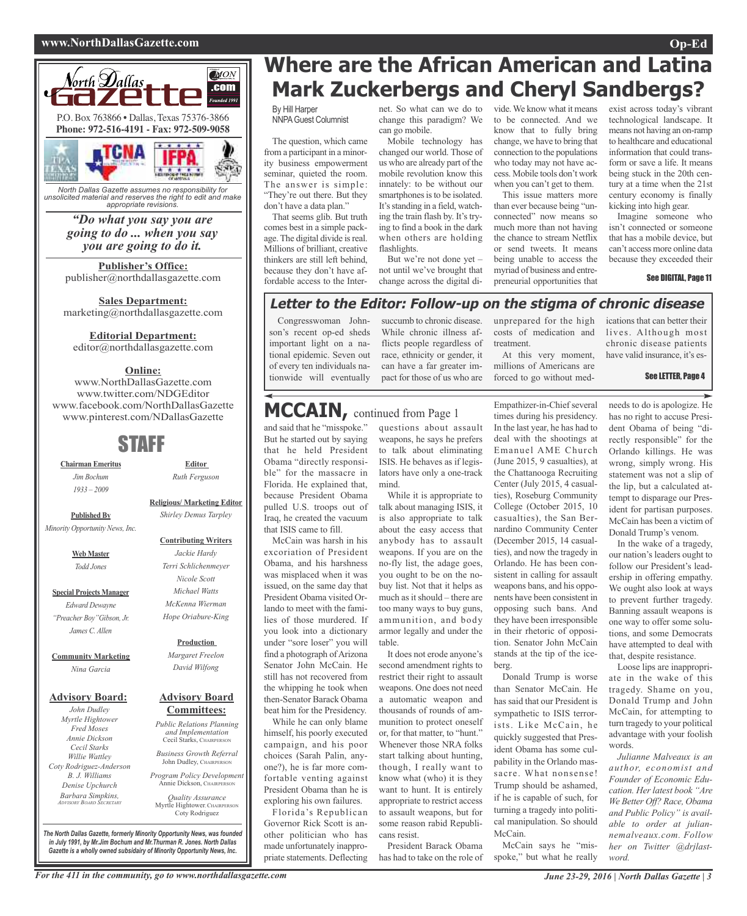#### **www.NorthDallasGazette.com Op-Ed**



*North Dallas Gazette assumes no responsibility for unsolicited material and reserves the right to edit and make appropriate revisions.*

### *"Do what you say you are going to do ... when you say you are going to do it.*

**Publisher's Office:** publisher@northdallasgazette.com

**Sales Department:** marketing@northdallasgazette.com

#### **Editorial Department:**

editor@northdallasgazette.com

### **Online:**

www.NorthDallasGazette.com www.twitter.com/NDGEditor www.facebook.com/NorthDallasGazette www.pinterest.com/NDallasGazette

### STAFF

**Chairman Emeritus** *Jim Bochum 1933 – 2009*

**Published By**

**Religious/ Marketing Editor**

### *Minority Opportunity News, Inc.*

**Web Master** *Todd Jones*

**Special Projects Manager** *Edward Dewayne "Preacher Boy"Gibson, Jr. James C. Allen*

#### **Community Marketing** *Nina Garcia*

#### **Advisory Board:**

*John Dudley Myrtle Hightower Fred Moses Annie Dickson Cecil Starks Willie Wattley Coty Rodriguez-Anderson B. J. Williams Denise Upchurch Barbara Simpkins, ADVISORY BOARD SECRETARY*

*Shirley Demus Tarpley*

#### **Contributing Writers**

*Jackie Hardy Terri Schlichenmeyer Nicole Scott Michael Watts McKenna Wierman Hope Oriabure-King*

#### **Production**

*Margaret Freelon David Wilfong*

#### **Advisory Board Committees:**

*Public Relations Planning and Implementation* Cecil Starks, CHAIRPERSON

*Business Growth Referral* John Dudley, CHAIRPERSO

*Program Policy Development* Annie Dickson, CHAIRPER

*Quality Assurance* Myrtle Hightower, CHAIRPERSON Coty Rodriguez

*The North Dallas Gazette, formerly Minority Opportunity News, was founded in July 1991, by Mr.Jim Bochum and Mr.Thurman R. Jones. North Dallas Gazette is a wholly owned subsidairy of Minority Opportunity News, Inc.*

### **Where are the African American and Latina Mark Zuckerbergs and Cheryl Sandbergs?**

By Hill Harper NNPAGuest Columnist

The question, which came from a participant in a minority business empowerment seminar, quieted the room. The answer is simple: "They're out there. But they don't have a data plan."

That seems glib. But truth comes best in a simple package. The digital divide is real. Millions of brilliant, creative thinkers are still left behind, because they don't have affordable access to the Internet. So what can we do to change this paradigm? We can go mobile.

Mobile technology has changed our world. Those of us who are already part of the mobile revolution know this innately: to be without our smartphones is to be isolated. It's standing in a field, watching the train flash by. It's trying to find a book in the dark when others are holding flashlights

But we're not done yet – not until we've brought that change across the digital divide.We know what it means to be connected. And we know that to fully bring change, we have to bring that connection to the populations who today may not have access. Mobile tools don't work when you can't get to them.

This issue matters more than ever because being "unconnected" now means so much more than not having the chance to stream Netflix or send tweets. It means being unable to access the myriad of business and entrepreneurial opportunities that

exist across today's vibrant technological landscape. It means not having an on-ramp to healthcare and educational information that could transform or save a life. It means being stuck in the 20th century at a time when the 21st century economy is finally kicking into high gear.

Imagine someone who isn't connected or someone that has a mobile device, but can't access more online data because they exceeded their

See DIGITAL, Page 11

### **Letter to the Editor: Follow-up on the stigma of chronic disease**

Congresswoman Johnson's recent op-ed sheds important light on a national epidemic. Seven out of every ten individuals nationwide will eventually succumb to chronic disease. While chronic illness afflicts people regardless of race, ethnicity or gender, it can have a far greater impact for those of us who are

unprepared for the high costs of medication and treatment.

At this very moment, millions of Americans are forced to go without medications that can better their lives. Although most chronic disease patients have valid insurance, it's es-

#### See LETTER, Page 4

### **MCCAIN,** continued from Page <sup>1</sup>

and said that he "misspoke." But he started out by saying that he held President Obama "directly responsible" for the massacre in Florida. He explained that, because President Obama pulled U.S. troops out of Iraq, he created the vacuum that ISIS came to fill.

McCain was harsh in his excoriation of President Obama, and his harshness was misplaced when it was issued, on the same day that President Obama visited Orlando to meet with the families of those murdered. If you look into a dictionary under "sore loser" you will find a photograph of Arizona Senator John McCain. He still has not recovered from the whipping he took when then-Senator Barack Obama beat him for the Presidency.

While he can only blame himself, his poorly executed campaign, and his poor choices (Sarah Palin, anyone?), he is far more comfortable venting against President Obama than he is exploring his own failures.

Florida's Republican Governor Rick Scott is another politician who has made unfortunately inappropriate statements. Deflecting

questions about assault weapons, he says he prefers to talk about eliminating ISIS. He behaves as if legislators have only a one-track mind.

While it is appropriate to talk about managing ISIS, it is also appropriate to talk about the easy access that anybody has to assault weapons. If you are on the no-fly list, the adage goes, you ought to be on the nobuy list. Not that it helps as much as it should – there are too many ways to buy guns, ammunition, and body armor legally and under the table.

It does not erode anyone's second amendment rights to restrict their right to assault weapons. One does not need a automatic weapon and thousands of rounds of ammunition to protect oneself or, for that matter, to "hunt." Whenever those NRA folks start talking about hunting, though, I really want to know what (who) it is they want to hunt. It is entirely appropriate to restrict access to assault weapons, but for some reason rabid Republicans resist.

President Barack Obama has had to take on the role of Empathizer-in-Chief several times during his presidency. In the last year, he has had to deal with the shootings at Emanuel AME Church (June 2015, 9 casualties), at the Chattanooga Recruiting Center (July 2015, 4 casualties), Roseburg Community College (October 2015, 10 casualties), the San Bernardino Community Center (December 2015, 14 casualties), and now the tragedy in Orlando. He has been consistent in calling for assault weapons bans, and his opponents have been consistent in opposing such bans. And they have been irresponsible in their rhetoric of opposition. Senator John McCain stands at the tip of the iceberg.

Donald Trump is worse than Senator McCain. He has said that our President is sympathetic to ISIS terrorists. Like McCain, he quickly suggested that President Obama has some culpability in the Orlando massacre. What nonsense! Trump should be ashamed, if he is capable of such, for turning a tragedy into political manipulation. So should McCain.

McCain says he "misspoke," but what he really needs to do is apologize. He has no right to accuse President Obama of being "directly responsible" for the Orlando killings. He was wrong, simply wrong. His statement was not a slip of the lip, but a calculated attempt to disparage our President for partisan purposes. McCain has been a victim of Donald Trump's venom.

In the wake of a tragedy, our nation's leaders ought to follow our President's leadership in offering empathy. We ought also look at ways to prevent further tragedy. Banning assault weapons is one way to offer some solutions, and some Democrats have attempted to deal with that, despite resistance.

Loose lips are inappropriate in the wake of this tragedy. Shame on you, Donald Trump and John McCain, for attempting to turn tragedy to your political advantage with your foolish words.

*Julianne Malveaux is an author, economist and Founder of Economic Education. Her latest book "Are We Better Off? Race, Obama and Public Policy" is available to order at juliannemalveaux.com. Follow her on Twitter @drjlastword.*

## **Editor** *Ruth Ferguson*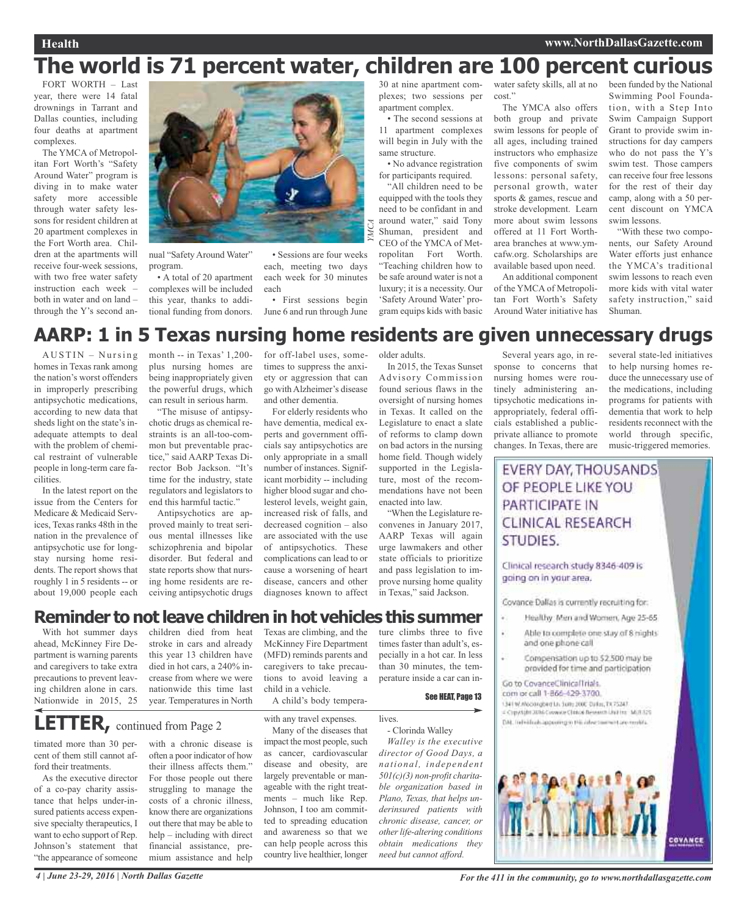### **Health www.NorthDallasGazette.com**

## **The world is 71 percent water, children are 100 percent curious**

FORT WORTH – Last year, there were 14 fatal drownings in Tarrant and Dallas counties, including four deaths at apartment complexes.

The YMCA of Metropolitan Fort Worth's "Safety Around Water" program is diving in to make water safety more accessible through water safety lessons for resident children at 20 apartment complexes in the Fort Worth area. Children at the apartments will receive four-week sessions, with two free water safety instruction each week – both in water and on land – through the Y's second an-



nual "Safety Around Water" program.

• A total of 20 apartment complexes will be included this year, thanks to additional funding from donors.

• Sessions are four weeks each, meeting two days each week for 30 minutes each

• First sessions begin June 6 and run through June 30 at nine apartment complexes; two sessions per apartment complex.

• The second sessions at 11 apartment complexes will begin in July with the same structure.

• No advance registration for participants required.

"All children need to be equipped with the tools they need to be confidant in and around water," said Tony Shuman, president and CEO of the YMCA of Metropolitan Fort Worth. "Teaching children how to be safe around water is not a luxury; it is a necessity. Our 'Safety Around Water' program equips kids with basic

water safety skills, all at no cost."

The YMCA also offers both group and private swim lessons for people of all ages, including trained instructors who emphasize five components of swim lessons: personal safety, personal growth, water sports & games, rescue and stroke development. Learn more about swim lessons offered at 11 Fort Wortharea branches at www.ymcafw.org. Scholarships are available based upon need.

An additional component of the YMCA of Metropolitan Fort Worth's Safety Around Water initiative has

been funded by the National Swimming Pool Foundation, with a Step Into Swim Campaign Support Grant to provide swim instructions for day campers who do not pass the Y's swim test. Those campers can receive four free lessons for the rest of their day camp, along with a 50 percent discount on YMCA swim lessons.

"With these two components, our Safety Around Water efforts just enhance the YMCA's traditional swim lessons to reach even more kids with vital water safety instruction," said Shuman.

### **AARP: 1 in 5 Texas nursing home residents are given unnecessary drugs**

 $AUSTIN - Nursing$ homes in Texas rank among the nation's worst offenders in improperly prescribing antipsychotic medications, according to new data that sheds light on the state's inadequate attempts to deal with the problem of chemical restraint of vulnerable people in long-term care facilities.

In the latest report on the issue from the Centers for Medicare & Medicaid Services, Texas ranks 48th in the nation in the prevalence of antipsychotic use for longstay nursing home residents. The report shows that roughly 1 in 5 residents -- or about 19,000 people each

month -- in Texas' 1,200 plus nursing homes are being inappropriately given the powerful drugs, which can result in serious harm.

"The misuse of antipsychotic drugs as chemical restraints is an all-too-common but preventable practice," said AARP Texas Director Bob Jackson. "It's time for the industry, state regulators and legislators to end this harmful tactic."

Antipsychotics are approved mainly to treat serious mental illnesses like schizophrenia and bipolar disorder. But federal and state reports show that nursing home residents are receiving antipsychotic drugs

for off-label uses, sometimes to suppress the anxiety or aggression that can go with Alzheimer's disease and other dementia.

For elderly residents who have dementia, medical experts and government officials say antipsychotics are only appropriate in a small number of instances. Significant morbidity -- including higher blood sugar and cholesterol levels, weight gain, increased risk of falls, and decreased cognition – also are associated with the use of antipsychotics. These complications can lead to or cause a worsening of heart disease, cancers and other diagnoses known to affect

older adults.

In 2015, the Texas Sunset Advisory Commission found serious flaws in the oversight of nursing homes in Texas. It called on the Legislature to enact a slate of reforms to clamp down on bad actors in the nursing home field. Though widely supported in the Legislature, most of the recommendations have not been enacted into law.

"When the Legislature reconvenes in January 2017, AARP Texas will again urge lawmakers and other state officials to prioritize and pass legislation to improve nursing home quality in Texas," said Jackson.

**Reminder to not leave children in hot vehicles this summer** ture climbs three to five

With hot summer days ahead, McKinney Fire Department is warning parents and caregivers to take extra precautions to prevent leaving children alone in cars. Nationwide in 2015, 25

children died from heat stroke in cars and already this year 13 children have died in hot cars, a 240% increase from where we were nationwide this time last year. Temperatures in North

Texas are climbing, and the McKinney Fire Department (MFD) reminds parents and caregivers to take precautions to avoid leaving a child in a vehicle.

See HEAT, Page 13

times faster than adult's, especially in a hot car. In less than 30 minutes, the temperature inside a car can in-

**LETTER,** continued from Page <sup>2</sup>

timated more than 30 percent of them still cannot afford their treatments.

As the executive director of a co-pay charity assistance that helps under-insured patients access expensive specialty therapeutics, I want to echo support of Rep. Johnson's statement that "the appearance of someone

with a chronic disease is often a poor indicator of how their illness affects them." For those people out there struggling to manage the costs of a chronic illness, know there are organizations out there that may be able to help – including with direct financial assistance, premium assistance and help

with any travel expenses. Many of the diseases that

A child's body tempera-

impact the most people, such as cancer, cardiovascular disease and obesity, are largely preventable or manageable with the right treatments – much like Rep. Johnson, I too am committed to spreading education and awareness so that we can help people across this country live healthier, longer

lives. - Clorinda Walley

*Walley is the executive director of Good Days, a national, independent 501(c)(3) non-profit charitable organization based in Plano, Texas, that helps underinsured patients with chronic disease, cancer, or otherlife-altering conditions obtain medications they need but cannot afford.*

Several years ago, in response to concerns that nursing homes were routinely administering antipsychotic medications inappropriately, federal officials established a publicprivate alliance to promote changes. In Texas, there are

several state-led initiatives to help nursing homes reduce the unnecessary use of the medications, including programs for patients with dementia that work to help residents reconnect with the world through specific, music-triggered memories.

EVERY DAY, THOUSANDS OF PEOPLE LIKE YOU PARTICIPATE IN CLINICAL RESEARCH STUDIES.

Clinical research study 8346-409 is going on in your area.

Covance Dallas is currently recruiting for:

- Healthy: Men and Women, Age 25-65.
- Able to complete one stay of 8 hights and one phone call
- Compensation up to \$2.500 may be provided for time and participation

Go to CovanceClinicalTrials. com or call 1-866-429-3700.

1341 W. Woodnabed Lis Suite 200E Dallas, TX 75247. # Cripyright 2016 Covwete Christe Research Unit Ins. MOT I29 DAL Individuals appearing to this inharmon contrare mushin.



4 June 23-29, 2016 | North Dallas Gazette **State** For the 411 in the community, go to www.northdallasgazette.com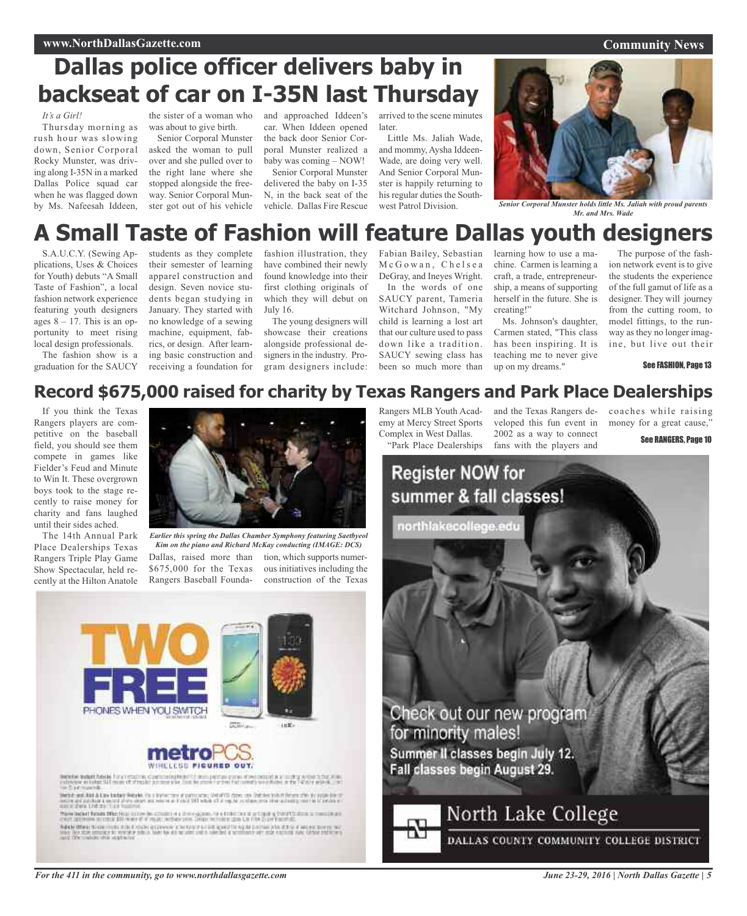### **Dallas police officer delivers baby in backseat of car on I-35N last Thursday**

#### *It's a Girl!*

Thursday morning as rush hour was slowing down, Senior Corporal Rocky Munster, was driving along I-35N in a marked Dallas Police squad car when he was flagged down by Ms. Nafeesah Iddeen,

the sister of a woman who was about to give birth.

Senior Corporal Munster asked the woman to pull over and she pulled over to the right lane where she stopped alongside the freeway. Senior Corporal Munster got out of his vehicle

and approached Iddeen's car. When Iddeen opened the back door Senior Corporal Munster realized a baby was coming – NOW!

Senior Corporal Munster delivered the baby on I-35 N, in the back seat of the vehicle. Dallas Fire Rescue

arrived to the scene minutes later.

Little Ms. Jaliah Wade, and mommy, Aysha Iddeen-Wade, are doing very well. And Senior Corporal Munster is happily returning to his regular duties the Southwest Patrol Division.



*Senior Corporal Munster holds little Ms. Jaliah with proud parents Mr. and Mrs. Wade*

## **A Small Taste of Fashion will feature Dallas youth designers**

S.A.U.C.Y. (Sewing Applications, Uses & Choices for Youth) debuts "A Small Taste of Fashion", a local fashion network experience featuring youth designers ages  $8 - 17$ . This is an opportunity to meet rising local design professionals.

The fashion show is a graduation for the SAUCY

students as they complete their semester of learning apparel construction and design. Seven novice students began studying in January. They started with no knowledge of a sewing machine, equipment, fabrics, or design. After learning basic construction and receiving a foundation for

fashion illustration, they have combined their newly found knowledge into their first clothing originals of which they will debut on July 16.

The young designers will showcase their creations alongside professional designers in the industry. Program designers include:

Fabian Bailey, Sebastian McGowan, Chelsea DeGray, and Ineyes Wright. In the words of one SAUCY parent, Tameria Witchard Johnson, "My child is learning a lost art that our culture used to pass down like a tradition. SAUCY sewing class has been so much more than

learning how to use a machine. Carmen is learning a craft, a trade, entrepreneurship, a means of supporting herself in the future. She is creating!"

Ms. Johnson's daughter, Carmen stated, "This class has been inspiring. It is teaching me to never give up on my dreams."

The purpose of the fashion network event is to give the students the experience of the full gamut of life as a designer. They will journey from the cutting room, to model fittings, to the runway as they no longer imagine, but live out their

See FASHION, Page 13

### **Record \$675,000 raised for charity by Texas Rangers and Park Place Dealerships**

If you think the Texas Rangers players are competitive on the baseball field, you should see them compete in games like Fielder's Feud and Minute to Win It. These overgrown boys took to the stage recently to raise money for charity and fans laughed until their sides ached.

The 14th Annual Park Place Dealerships Texas Rangers Triple Play Game Show Spectacular, held recently at the Hilton Anatole



Dallas, raised more than \$675,000 for the Texas Rangers Baseball Foundation, which supports numerous initiatives including the construction of the Texas *Earlier this spring the Dallas Chamber Symphony featuring Saetbyeol Kim on the piano and Richard McKay conducting (IMAGE: DCS)*

PHONES WHEN YOU SWITCH inK.

### WINELESS FIGURED OUT.

.<br>Service forbat function for a company of<br>particular in terms of of models

Senior and historical states below the state and distribution of the conditions and the state of the property of the property of the condition of the state of the state of the condition of the condition of the condition of

Tolder When these model that model expresse a better finitely and the sight permanent and the distribution in the<br>Since how the strong a to many plan this case to an an above out a size and a specializer and many considera

*For the 411 in the community, go to www.northdallasgazette.com*

Rangers MLB Youth Academy at Mercy Street Sports Complex in West Dallas. "Park Place Dealerships

and the Texas Rangers developed this fun event in 2002 as a way to connect fans with the players and

coaches while raising money for a great cause,"

See RANGERS, Page 10



*June 23-29, 2016 | North Dallas Gazette | 5*

### **Community News**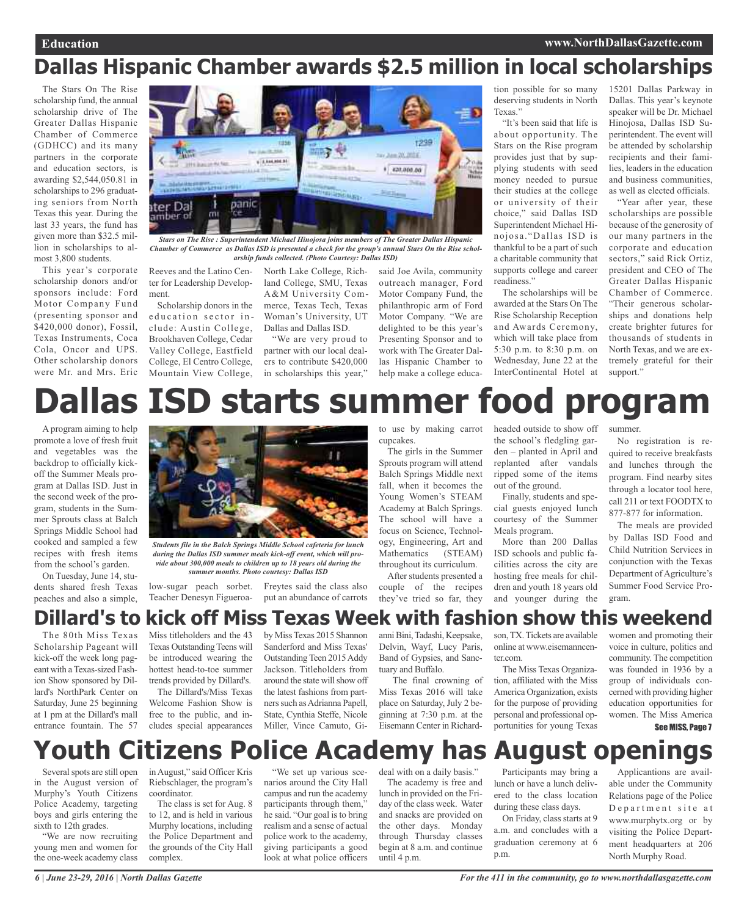### **Dallas Hispanic Chamber awards \$2.5 million in local scholarships**

The Stars On The Rise scholarship fund, the annual scholarship drive of The Greater Dallas Hispanic Chamber of Commerce (GDHCC) and its many partners in the corporate and education sectors, is awarding \$2,544,050.81 in scholarships to 296 graduating seniors from North Texas this year. During the last 33 years, the fund has given more than \$32.5 million in scholarships to almost 3,800 students.

This year's corporate scholarship donors and/or sponsors include: Ford Motor Company Fund (presenting sponsor and \$420,000 donor), Fossil, Texas Instruments, Coca Cola, Oncor and UPS. Other scholarship donors were Mr. and Mrs. Eric



*Stars on The Rise : Superintendent Michael Hinojosa joins members of The Greater Dallas Hispanic* Chamber of Commerce as Dallas ISD is presented a check for the group's annual Stars On the Rise schol*arship funds collected. (Photo Courtesy: Dallas ISD)*

Reeves and the Latino Center for Leadership Development.

Scholarship donors in the education sector include: Austin College, Brookhaven College, Cedar Valley College, Eastfield College, El Centro College, Mountain View College,

North Lake College, Richland College, SMU, Texas A&M University Commerce, Texas Tech, Texas Woman's University, UT Dallas and Dallas ISD.

"We are very proud to partner with our local dealers to contribute \$420,000 in scholarships this year," said Joe Avila, community outreach manager, Ford Motor Company Fund, the philanthropic arm of Ford Motor Company. "We are delighted to be this year's Presenting Sponsor and to work with The Greater Dallas Hispanic Chamber to help make a college education possible for so many deserving students in North Texas."

"It's been said that life is about opportunity. The Stars on the Rise program provides just that by supplying students with seed money needed to pursue their studies at the college or university of their choice," said Dallas ISD Superintendent Michael Hinojosa."Dallas ISD is thankful to be a part of such a charitable community that supports college and career readiness."

The scholarships will be awarded at the Stars On The Rise Scholarship Reception and Awards Ceremony, which will take place from 5:30 p.m. to 8:30 p.m. on Wednesday, June 22 at the InterContinental Hotel at

15201 Dallas Parkway in Dallas. This year's keynote speaker will be Dr. Michael Hinojosa, Dallas ISD Superintendent. The event will be attended by scholarship recipients and their families, leaders in the education and business communities, as well as elected officials.

"Year after year, these scholarships are possible because of the generosity of our many partners in the corporate and education sectors," said Rick Ortiz, president and CEO of The Greater Dallas Hispanic Chamber of Commerce. "Their generous scholarships and donations help create brighter futures for thousands of students in North Texas, and we are extremely grateful for their support."

# **Dallas ISD starts summer food program**

A program aiming to help promote a love of fresh fruit and vegetables was the backdrop to officially kickoff the Summer Meals program at Dallas ISD. Just in the second week of the program, students in the Summer Sprouts class at Balch Springs Middle School had cooked and sampled a few recipes with fresh items from the school's garden.

On Tuesday, June 14, students shared fresh Texas peaches and also a simple,



*during the Dallas ISD summer meals kick-off event, which will provide about 300,000 meals to children up to 18 years old during the summer months. Photo courtesy: Dallas ISD*

low-sugar peach sorbet. Freytes said the class also Teacher Denesyn Figueroato use by making carrot cupcakes.

The girls in the Summer Sprouts program will attend Balch Springs Middle next fall, when it becomes the Young Women's STEAM Academy at Balch Springs. The school will have a focus on Science, Technology, Engineering, Art and Mathematics (STEAM) throughout its curriculum.

After students presented a couple of the recipes they've tried so far, they

headed outside to show off the school's fledgling garden – planted in April and replanted after vandals ripped some of the items out of the ground.

Finally, students and special guests enjoyed lunch courtesy of the Summer Meals program.

More than 200 Dallas ISD schools and public facilities across the city are hosting free meals for children and youth 18 years old and younger during the summer.

No registration is required to receive breakfasts and lunches through the program. Find nearby sites through a locator tool here, call 211 or text FOODTX to 877-877 for information.

The meals are provided by Dallas ISD Food and Child Nutrition Services in conjunction with the Texas Department of Agriculture's Summer Food Service Program.

### **Dillard's to kick off Miss Texas Week with fashion show this weekend**

The 80th Miss Texas Scholarship Pageant will kick-off the week long pageant with a Texas-sized Fashion Show sponsored by Dillard's NorthPark Center on Saturday, June 25 beginning at 1 pm at the Dillard's mall entrance fountain. The 57 Miss titleholders and the 43 Texas Outstanding Teens will be introduced wearing the hottest head-to-toe summer trends provided by Dillard's.

The Dillard's/Miss Texas Welcome Fashion Show is free to the public, and includes special appearances

by MissTexas 2015 Shannon Sanderford and Miss Texas' Outstanding Teen 2015 Addy Jackson. Titleholders from around the state will show off the latest fashions from partners such as Adrianna Papell, State, Cynthia Steffe, Nicole Miller, Vince Camuto, Gi-

put an abundance of carrots

anni Bini, Tadashi, Keepsake, Delvin, Wayf, Lucy Paris, Band of Gypsies, and Sanctuary and Buffalo.

The final crowning of Miss Texas 2016 will take place on Saturday, July 2 beginning at 7:30 p.m. at the Eisemann Center in Richardson,TX.Tickets are available online at www.eisemanncenter.com

The Miss Texas Organization, affiliated with the Miss America Organization, exists for the purpose of providing personal and professional opportunities for young Texas

women and promoting their voice in culture, politics and community. The competition was founded in 1936 by a group of individuals concerned with providing higher education opportunities for women. The Miss America See MISS, Page 7

## **Youth Citizens Police Academy has August openings**

Several spots are still open in the August version of Murphy's Youth Citizens Police Academy, targeting boys and girls entering the sixth to 12th grades.

"We are now recruiting young men and women for the one-week academy class

inAugust," said Officer Kris Riebschlager, the program's coordinator.

The class is set for Aug. 8 to 12, and is held in various Murphy locations, including the Police Department and the grounds of the City Hall complex.

"We set up various scenarios around the City Hall campus and run the academy participants through them," he said. "Our goal isto bring realism and a sense of actual police work to the academy, giving participants a good look at what police officers

deal with on a daily basis."

The academy is free and lunch in provided on the Friday of the class week. Water and snacks are provided on the other days. Monday through Thursday classes begin at 8 a.m. and continue until 4 p.m.

Participants may bring a lunch or have a lunch delivered to the class location during these class days.

On Friday, class starts at 9 a.m. and concludes with a graduation ceremony at 6 p.m.

Applicantions are available under the Community Relations page of the Police Department site at www.murphytx.org or by visiting the Police Department headquarters at 206 North Murphy Road.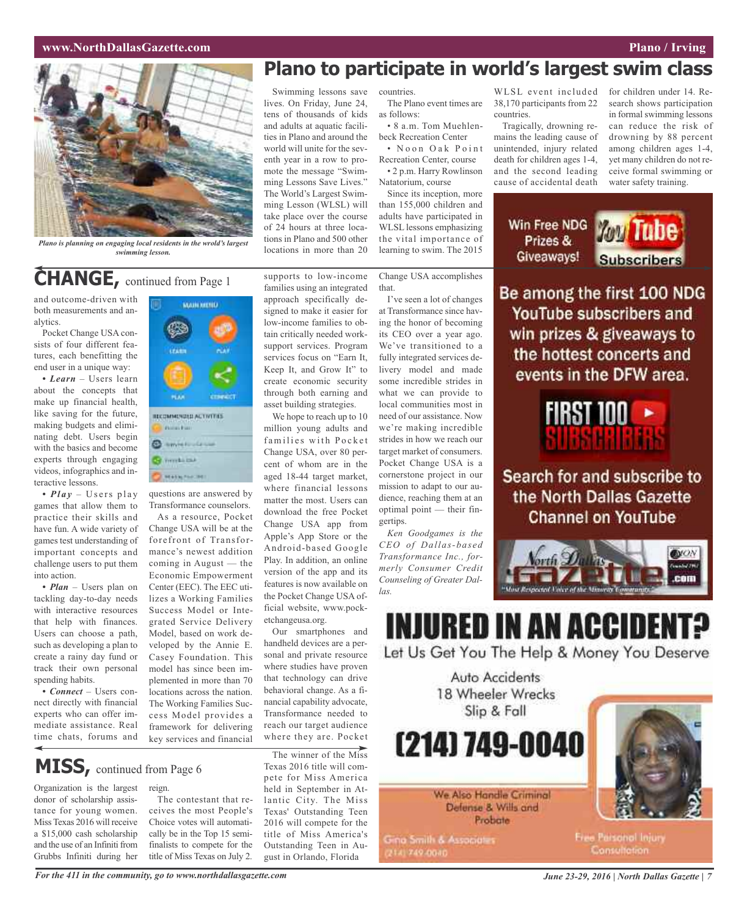### **www.NorthDallasGazette.com Plano** / **Irving**



*Plano is planning on engaging local residents in the wrold's largest swimming lesson.*

### **CHANGE,** continued from Page <sup>1</sup>

and outcome-driven with both measurements and analytics.

Pocket Change USA consists of four different features, each benefitting the end user in a unique way:

*• Learn* – Users learn about the concepts that make up financial health, like saving for the future, making budgets and eliminating debt. Users begin with the basics and become experts through engaging videos, infographics and interactive lessons.

• *Play* – Users play games that allow them to practice their skills and have fun. A wide variety of games test understanding of important concepts and challenge users to put them into action.

*• Plan* – Users plan on tackling day-to-day needs with interactive resources that help with finances. Users can choose a path, such as developing a plan to create a rainy day fund or track their own personal spending habits.

*• Connect* – Users connect directly with financial experts who can offer immediate assistance. Real time chats, forums and

## WAIN WEND **PLAN** RECOMMENDED ACTIVITIES Philadelphia **Communication Cal formula call HEATHLIFEHELDS**

questions are answered by Transformance counselors.

As a resource, Pocket Change USA will be at the forefront of Transformance's newest addition coming in August — the Economic Empowerment Center (EEC). The EEC utilizes a Working Families Success Model or Integrated Service Delivery Model, based on work developed by the Annie E. Casey Foundation. This model has since been implemented in more than 70 locations across the nation. The Working Families Success Model provides a framework for delivering key services and financial

### **MISS,** continued from Page <sup>6</sup>

Organization is the largest donor of scholarship assistance for young women. Miss Texas 2016 will receive a \$15,000 cash scholarship and the use of an Infiniti from Grubbs Infiniti during her

reign. The contestant that re-

ceives the most People's Choice votes will automatically be in the Top 15 semifinalists to compete for the title of Miss Texas on July 2.

**Plano to participate in world's largest swim class**

Swimming lessons save lives. On Friday, June 24, tens of thousands of kids and adults at aquatic facilities in Plano and around the world will unite for the seventh year in a row to promote the message "Swimming Lessons Save Lives." The World's Largest Swimming Lesson (WLSL) will take place over the course of 24 hours at three locations in Plano and 500 other locations in more than 20

supports to low-income families using an integrated approach specifically designed to make it easier for low-income families to obtain critically needed worksupport services. Program services focus on "Earn It, Keep It, and Grow It" to create economic security through both earning and asset building strategies. We hope to reach up to 10 million young adults and families with Pocket Change USA, over 80 percent of whom are in the aged 18-44 target market, where financial lessons matter the most. Users can download the free Pocket Change USA app from Apple's App Store or the Android-based Google Play. In addition, an online version of the app and its features is now available on the Pocket Change USA official website, www.pock-

etchangeusa.org.

Our smartphones and handheld devices are a personal and private resource where studies have proven that technology can drive behavioral change. As a financial capability advocate, Transformance needed to reach our target audience where they are. Pocket

The winner of the Miss Texas 2016 title will compete for Miss America held in September in Atlantic City. The Miss Texas' Outstanding Teen 2016 will compete for the title of Miss America's Outstanding Teen in August in Orlando, Florida

as follows: • 8 a.m. Tom Muehlenbeck Recreation Center

countries.

• N o o n O a k P o i n t Recreation Center, course • 2 p.m. Harry Rowlinson

Natatorium, course Since its inception, more

than 155,000 children and adults have participated in WLSL lessons emphasizing the vital importance of learning to swim. The 2015

Change USA accomplishes that.

gertips.

*las.*

*Ken Goodgames is the CEO of Dallas-based Transformance Inc., formerly Consumer Credit Counseling of Greater Dal-*

I've seen a lot of changes at Transformance since having the honor of becoming its CEO over a year ago. We've transitioned to a fully integrated services delivery model and made some incredible strides in what we can provide to local communities most in need of our assistance. Now we're making incredible strides in how we reach our target market of consumers. Pocket Change USA is a cornerstone project in our mission to adapt to our audience, reaching them at an optimal point — their fin-

#### The Plano event times are WLSL event included 38,170 participants from 22 countries.

Tragically, drowning remains the leading cause of unintended, injury related death for children ages 1-4, and the second leading cause of accidental death

> Win Free NDG Prizes &

for children under 14. Research shows participation in formal swimming lessons can reduce the risk of drowning by 88 percent among children ages 1-4, yet many children do not receive formal swimming or water safety training.

**You Tube** Giveaways! **Subscribers** 

Be among the first 100 NDG YouTube subscribers and win prizes & giveaways to the hottest concerts and events in the DFW area.



Search for and subscribe to the North Dallas Gazette **Channel on YouTube** 



### **INJURED IN AN ACCIDEI** Let Us Get You The Help & Money You Deserve

Auto Accidents 18 Wheeler Wrecks Slip & Fall

(214) 749-0040

We Also Handle Criminal Defense & Wills and Probate

Gina Smith & Associates 2141749-0040



Free Parsonal Injury Consultation:

For the 411 in the community, go to www.northdallasgazette.com June 23-29, 2016 | North Dallas Gazette | 7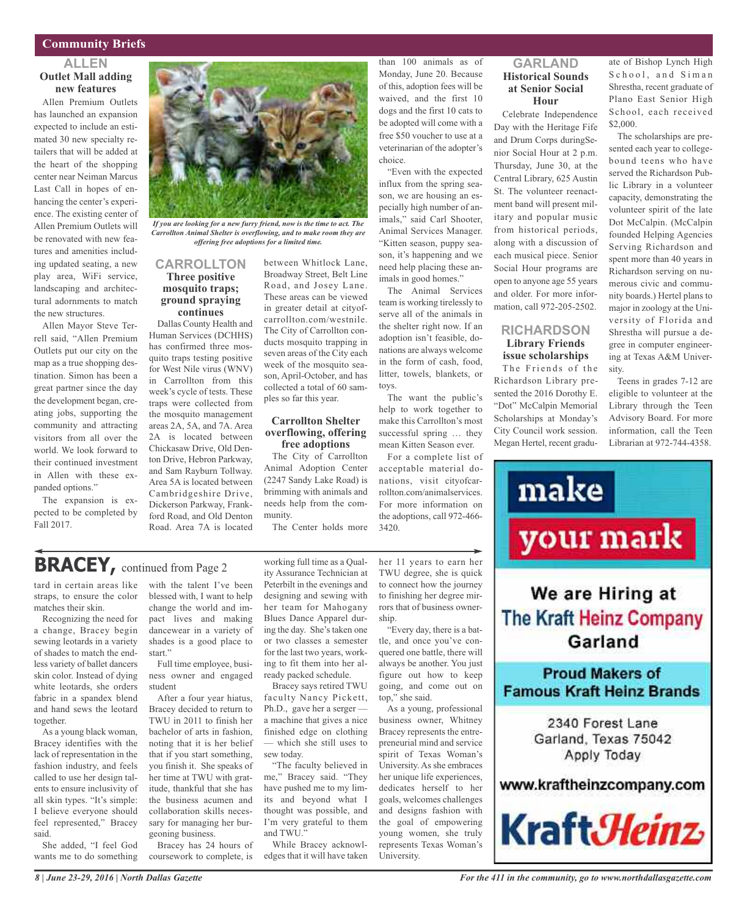### **Community Briefs**

### **ALLEN Outlet Mall adding new features**

Allen Premium Outlets has launched an expansion expected to include an estimated 30 new specialty retailers that will be added at the heart of the shopping center near Neiman Marcus Last Call in hopes of enhancing the center's experience. The existing center of Allen Premium Outlets will be renovated with new features and amenities including updated seating, a new play area, WiFi service, landscaping and architectural adornments to match the new structures.

Allen Mayor Steve Terrell said, "Allen Premium Outlets put our city on the map as a true shopping destination. Simon has been a great partner since the day the development began, creating jobs, supporting the community and attracting visitors from all over the world. We look forward to their continued investment in Allen with these expanded options."

The expansion is expected to be completed by Fall 2017.



*If you are looking for a new furry friend, now is the time to act. The Carrollton Animal Shelter is overflowing, and to make room they are offering free adoptions for a limited time.*

#### **CARROLLTON Three positive mosquito traps; ground spraying continues**

Dallas County Health and Human Services (DCHHS) has confirmed three mosquito traps testing positive for West Nile virus (WNV) in Carrollton from this week's cycle of tests. These traps were collected from the mosquito management areas 2A, 5A, and 7A. Area 2A is located between Chickasaw Drive, Old Denton Drive, Hebron Parkway, and Sam Rayburn Tollway. Area 5A is located between Cambridgeshire Drive, Dickerson Parkway, Frankford Road, and Old Denton Road. Area 7A is located

between Whitlock Lane, Broadway Street, Belt Line Road, and Josey Lane. These areas can be viewed in greater detail at cityofcarrollton.com/westnile. The City of Carrollton conducts mosquito trapping in seven areas of the City each week of the mosquito season, April-October, and has collected a total of 60 samples so far this year.

#### **Carrollton Shelter overflowing, offering free adoptions**

The City of Carrollton Animal Adoption Center (2247 Sandy Lake Road) is brimming with animals and needs help from the community.

The Center holds more

than 100 animals as of Monday, June 20. Because of this, adoption fees will be waived, and the first 10 dogs and the first 10 cats to be adopted will come with a free \$50 voucher to use at a veterinarian of the adopter's choice.

"Even with the expected influx from the spring season, we are housing an especially high number of animals," said Carl Shooter, Animal Services Manager. "Kitten season, puppy season, it's happening and we need help placing these animals in good homes."

The Animal Services team is working tirelessly to serve all of the animals in the shelter right now. If an adoption isn't feasible, donations are always welcome in the form of cash, food, litter, towels, blankets, or toys.

The want the public's help to work together to make this Carrollton's most successful spring … they mean Kitten Season ever.

For a complete list of acceptable material donations, visit cityofcarrollton.com/animalservices. For more information on the adoptions, call 972-466- 3420.

### **GARLAND Historical Sounds at Senior Social Hour**

Celebrate Independence Day with the Heritage Fife and Drum Corps duringSenior Social Hour at 2 p.m. Thursday, June 30, at the Central Library, 625 Austin St. The volunteer reenactment band will present military and popular music from historical periods, along with a discussion of each musical piece. Senior Social Hour programs are open to anyone age 55 years and older. For more information, call 972-205-2502.

### **RICHARDSON Library Friends issue scholarships**

The Friends of the Richardson Library presented the 2016 Dorothy E. "Dot" McCalpin Memorial Scholarships at Monday's City Council work session. Megan Hertel, recent gradu-

ate of Bishop Lynch High School, and Siman Shrestha, recent graduate of Plano East Senior High School, each received \$2,000.

The scholarships are presented each year to collegebound teens who have served the Richardson Public Library in a volunteer capacity, demonstrating the volunteer spirit of the late Dot McCalpin. (McCalpin founded Helping Agencies Serving Richardson and spent more than 40 years in Richardson serving on numerous civic and community boards.) Hertel plans to major in zoology at the University of Florida and Shrestha will pursue a degree in computer engineering at Texas A&M University.

Teens in grades 7-12 are eligible to volunteer at the Library through the Teen Advisory Board. For more information, call the Teen Librarian at 972-744-4358.



### **The Kraft Heinz Company** Garland

**Proud Makers of Famous Kraft Heinz Brands** 

> 2340 Forest Lane Garland, Texas 75042 Apply Today

www.kraftheinzcompany.com



**BRACEY,** continued from Page <sup>2</sup>

tard in certain areas like straps, to ensure the color matches their skin.

Recognizing the need for a change, Bracey begin sewing leotards in a variety of shades to match the endless variety of ballet dancers skin color. Instead of dying white leotards, she orders fabric in a spandex blend and hand sews the leotard together.

As a young black woman, Bracey identifies with the lack of representation in the fashion industry, and feels called to use her design talents to ensure inclusivity of all skin types. "It's simple: I believe everyone should feel represented," Bracey said.

She added, "I feel God wants me to do something with the talent I've been blessed with, I want to help change the world and impact lives and making dancewear in a variety of shades is a good place to start."

Full time employee, business owner and engaged student

After a four year hiatus, Bracey decided to return to TWU in 2011 to finish her bachelor of arts in fashion, noting that it is her belief that if you start something, you finish it. She speaks of her time at TWU with gratitude, thankful that she has the business acumen and collaboration skills necessary for managing her burgeoning business.

Bracey has 24 hours of coursework to complete, is

working full time as a Quality Assurance Technician at Peterbilt in the evenings and designing and sewing with her team for Mahogany Blues Dance Apparel during the day. She's taken one or two classes a semester for the last two years, working to fit them into her already packed schedule.

Bracey says retired TWU faculty Nancy Pickett, Ph.D., gave her a serger a machine that gives a nice finished edge on clothing — which she still uses to sew today.

"The faculty believed in me," Bracey said. "They have pushed me to my limits and beyond what I thought was possible, and I'm very grateful to them and TWU."

While Bracey acknowledges that it will have taken her 11 years to earn her TWU degree, she is quick to connect how the journey to finishing her degree mirrors that of business ownership.

"Every day, there is a battle, and once you've conquered one battle, there will always be another. You just figure out how to keep going, and come out on top," she said.

As a young, professional business owner, Whitney Bracey represents the entrepreneurial mind and service spirit of Texas Woman's University. As she embraces her unique life experiences. dedicates herself to her goals, welcomes challenges and designs fashion with the goal of empowering young women, she truly represents Texas Woman's University.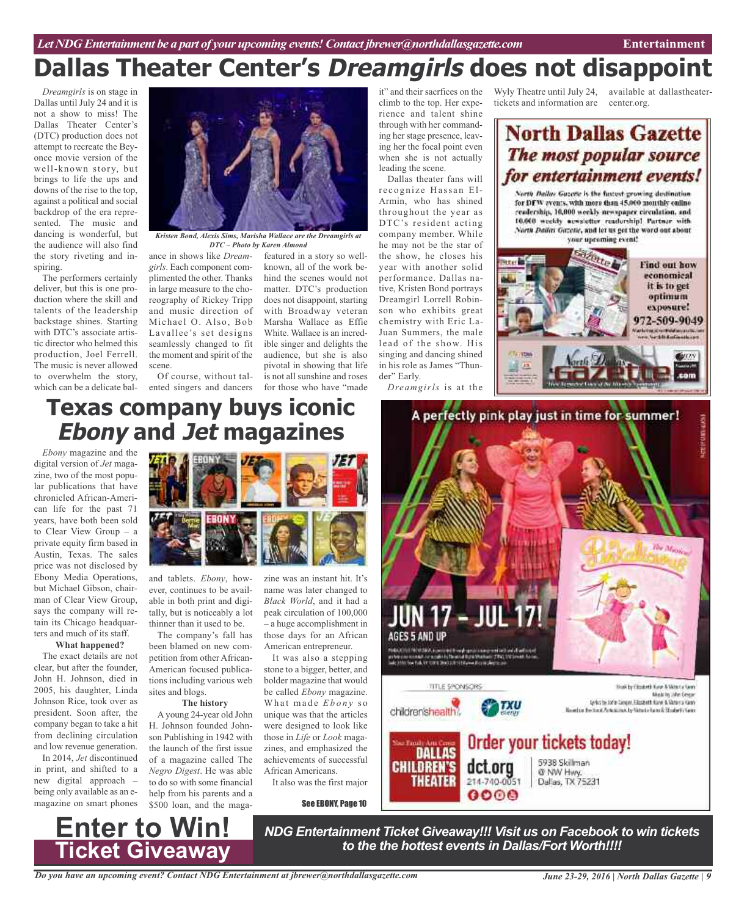*Dreamgirls* is on stage in Dallas until July 24 and it is not a show to miss! The Dallas Theater Center's (DTC) production does not attempt to recreate the Beyonce movie version of the well-known story, but brings to life the ups and downs of the rise to the top, against a political and social backdrop of the era represented. The music and dancing is wonderful, but the audience will also find the story riveting and inspiring.

The performers certainly deliver, but this is one production where the skill and talents of the leadership backstage shines. Starting with DTC's associate artistic director who helmed this production, Joel Ferrell. The music is never allowed to overwhelm the story, which can be a delicate bal-



*Kristen Bond, Alexis Sims, Marisha Wallace are the Dreamgirls at DTC – Photo by Karen Almond*

ance in shows like *Dreamgirls*. Each component complimented the other. Thanks in large measure to the choreography of Rickey Tripp and music direction of Michael O. Also, Bob Lavallee's set designs seamlessly changed to fit the moment and spirit of the scene.

Of course, without talented singers and dancers for those who have "made

featured in a story so wellknown, all of the work behind the scenes would not matter. DTC's production does not disappoint, starting with Broadway veteran Marsha Wallace as Effie White. Wallace is an incredible singer and delights the audience, but she is also pivotal in showing that life is not all sunshine and roses

it" and their sacrfices on the climb to the top. Her experience and talent shine through with her commanding her stage presence, leaving her the focal point even when she is not actually leading the scene.

Dallas theater fans will recognize Hassan El-Armin, who has shined throughout the year as DTC's resident acting company member. While he may not be the star of the show, he closes his year with another solid performance. Dallas native, Kristen Bond portrays Dreamgirl Lorrell Robinson who exhibits great chemistry with Eric La-Juan Summers, the male lead of the show. His singing and dancing shined in his role as James "Thunder" Early.

*Dreamgirls* is at the

tickets and information are

Wyly Theatre until July 24, available at dallastheatercenter.org.

### **North Dallas Gazette** The most popular source for entertainment events!

North Dallas Gazette is the fustest growing destination. for DFW avents, with more than 45,000 monthly enline readership, 10,000 weekly newspaper circulation, and 10.000 weekly aewsletter readership! Partner with North Dailas Gazette, and let us get the word out about your uproming event!



### **Texas company buys iconic Ebony and Jet magazines**

*Ebony* magazine and the digital version of *Jet* magazine, two of the most popular publications that have chronicled African-American life for the past 71 years, have both been sold to Clear View Group – a private equity firm based in Austin, Texas. The sales price was not disclosed by Ebony Media Operations, but Michael Gibson, chairman of Clear View Group, says the company will retain its Chicago headquarters and much of its staff.

### **What happened?**

The exact details are not clear, but after the founder, John H. Johnson, died in 2005, his daughter, Linda Johnson Rice, took over as president. Soon after, the company began to take a hit from declining circulation and low revenue generation.

In 2014, *Jet* discontinued in print, and shifted to a new digital approach – being only available as an emagazine on smart phones



and tablets. *Ebony*, however, continues to be available in both print and digitally, but is noticeably a lot thinner than it used to be.

The company's fall has been blamed on new competition from other African-American focused publications including various web sites and blogs.

#### **The history**

A young 24-year old John H. Johnson founded Johnson Publishing in 1942 with the launch of the first issue of a magazine called The *Negro Digest*. He was able to do so with some financial help from his parents and a \$500 loan, and the maga-

zine was an instant hit. It's name was later changed to *Black World*, and it had a peak circulation of 100,000 – a huge accomplishment in those days for an African American entrepreneur.

It was also a stepping stone to a bigger, better, and bolder magazine that would be called *Ebony* magazine. What made *Ebony* so unique was that the articles were designed to look like those in *Life* or *Look* magazines, and emphasized the achievements of successful African Americans.

It also was the first major

See EBONY, Page 10



*NDG Entertainment Ticket Giveaway!!! Visit us on Facebook to win tickets to the the hottest events in Dallas/Fort Worth!!!!*

*Do you have an upcoming event? Contact NDG Entertainment at jbrewer@northdallasgazette.com*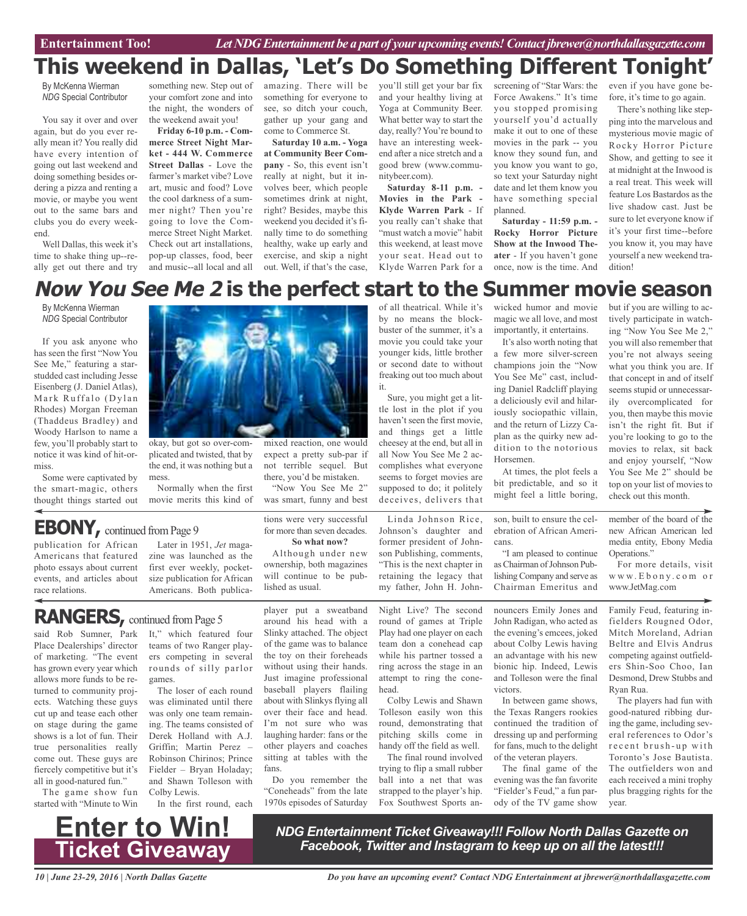### **This weekend in Dallas, 'Let's Do Something Different Tonight'**

By McKenna Wierman *NDG* Special Contributor

You say it over and over again, but do you ever really mean it? You really did have every intention of going out last weekend and doing something besides ordering a pizza and renting a movie, or maybe you went out to the same bars and clubs you do every weekend.

Well Dallas, this week it's time to shake thing up--really get out there and try

something new. Step out of your comfort zone and into the night, the wonders of the weekend await you!

**Friday 6-10 p.m. - Commerce Street Night Market - 444 W. Commerce Street Dallas** - Love the farmer's market vibe? Love art, music and food? Love the cool darkness of a summer night? Then you're going to love the Commerce Street Night Market. Check out art installations, pop-up classes, food, beer and music--all local and all

amazing. There will be something for everyone to see, so ditch your couch, gather up your gang and come to Commerce St.

**Saturday 10 a.m. - Yoga at Community Beer Company** - So, this event isn't really at night, but it involves beer, which people sometimes drink at night, right? Besides, maybe this weekend you decided it's finally time to do something healthy, wake up early and exercise, and skip a night out. Well, if that's the case, you'll still get your bar fix and your healthy living at Yoga at Community Beer. What better way to start the day, really? You're bound to have an interesting weekend after a nice stretch and a good brew (www.communitybeer.com).

**Saturday 8-11 p.m. - Movies in the Park - Klyde Warren Park** - If you really can't shake that "must watch a movie" habit this weekend, at least move your seat. Head out to Klyde Warren Park for a

screening of "Star Wars: the Force Awakens." It's time you stopped promising yourself you'd actually make it out to one of these movies in the park -- you know they sound fun, and you know you want to go, so text your Saturday night date and let them know you have something special planned.

**Saturday - 11:59 p.m. - Rocky Horror Picture Show at the Inwood Theater** - If you haven't gone once, now is the time. And

even if you have gone before, it's time to go again.

There's nothing like stepping into the marvelous and mysterious movie magic of Rocky Horror Picture Show, and getting to see it at midnight at the Inwood is a real treat. This week will feature Los Bastardos as the live shadow cast. Just be sure to let everyone know if it's your first time--before you know it, you may have yourself a new weekend tradition!

### **Now You See Me 2 is the perfect start to the Summer movie season**

By McKenna Wierman *NDG* Special Contributor

If you ask anyone who has seen the first "Now You See Me," featuring a starstudded cast including Jesse Eisenberg (J. Daniel Atlas), Mark Ruffalo (Dylan Rhodes) Morgan Freeman (Thaddeus Bradley) and Woody Harlson to name a few, you'll probably start to notice it was kind of hit-ormiss.

Some were captivated by the smart-magic, others thought things started out



okay, but got so over-complicated and twisted, that by the end, it was nothing but a mess.

Normally when the first movie merits this kind of

### **EBONY**, continued from Page 9

publication for African Americans that featured photo essays about current events, and articles about race relations.

Later in 1951, *Jet* magazine was launched as the first ever weekly, pocketsize publication for African Americans. Both publica-

### RANGERS, continued from Page 5

said Rob Sumner, Park Place Dealerships' director of marketing. "The event has grown every year which allows more funds to be returned to community projects. Watching these guys cut up and tease each other on stage during the game shows is a lot of fun. Their true personalities really come out. These guys are fiercely competitive but it's all in good-natured fun."

The game show fun started with "Minute to Win

It," which featured four teams of two Ranger players competing in several rounds of silly parlor games. The loser of each round

was eliminated until there was only one team remaining. The teams consisted of Derek Holland with A.J. Griffin; Martin Perez – Robinson Chirinos; Prince Fielder – Bryan Holaday; and Shawn Tolleson with Colby Lewis.

In the first round, each

player put a sweatband around his head with a Slinky attached. The object of the game was to balance the toy on their foreheads without using their hands. Just imagine professional baseball players flailing about with Slinkys flying all over their face and head. I'm not sure who was laughing harder: fans or the other players and coaches sitting at tables with the fans.

tions were very successful for more than seven decades. **So what now?** Although under new ownership, both magazines will continue to be pub-

mixed reaction, one would expect a pretty sub-par if not terrible sequel. But there, you'd be mistaken. "Now You See Me 2" was smart, funny and best

lished as usual.

Do you remember the "Coneheads" from the late 1970s episodes of Saturday

of all theatrical. While it's by no means the blockbuster of the summer, it's a movie you could take your younger kids, little brother or second date to without freaking out too much about it.

Sure, you might get a little lost in the plot if you haven't seen the first movie, and things get a little cheesey at the end, but all in all Now You See Me 2 accomplishes what everyone seems to forget movies are supposed to do; it politely deceives, delivers that

Linda Johnson Rice, Johnson's daughter and former president of Johnson Publishing, comments, "This is the next chapter in retaining the legacy that my father, John H. John-

Night Live? The second round of games at Triple Play had one player on each team don a conehead cap while his partner tossed a ring across the stage in an attempt to ring the conehead.

Colby Lewis and Shawn Tolleson easily won this round, demonstrating that pitching skills come in handy off the field as well. The final round involved

trying to flip a small rubber ball into a net that was strapped to the player's hip. Fox Southwest Sports anwicked humor and movie magic we all love, and most importantly, it entertains.

It's also worth noting that a few more silver-screen champions join the "Now You See Me" cast, including Daniel Radcliff playing a deliciously evil and hilariously sociopathic villain, and the return of Lizzy Caplan as the quirky new addition to the notorious Horsemen.

At times, the plot feels a bit predictable, and so it might feel a little boring,

son, built to ensure the celebration of African Americans.

"I am pleased to continue as Chairman of Johnson Publishing Company and serve as Chairman Emeritus and

nouncers Emily Jones and John Radigan, who acted as the evening's emcees, joked about Colby Lewis having an advantage with his new bionic hip. Indeed, Lewis and Tolleson were the final victors.

In between game shows, the Texas Rangers rookies continued the tradition of dressing up and performing for fans, much to the delight of the veteran players.

The final game of the evening was the fan favorite "Fielder's Feud," a fun parody of the TV game show

but if you are willing to actively participate in watching "Now You See Me 2," you will also remember that you're not always seeing what you think you are. If that concept in and of itself seems stupid or unnecessarily overcomplicated for you, then maybe this movie isn't the right fit. But if you're looking to go to the movies to relax, sit back and enjoy yourself, "Now You See Me 2" should be top on your list of movies to check out this month.

member of the board of the new African American led media entity, Ebony Media Operations."

For more details, visit w w w. E b o n y . c o m o r www.JetMag.com

Family Feud, featuring infielders Rougned Odor, Mitch Moreland, Adrian Beltre and Elvis Andrus competing against outfielders Shin-Soo Choo, Ian Desmond, Drew Stubbs and Ryan Rua.

The players had fun with good-natured ribbing during the game, including several references to Odor's recent brush-up with Toronto's Jose Bautista. The outfielders won and each received a mini trophy plus bragging rights for the year.

**Enter to Win! Ticket Giveaway**

*NDG Entertainment Ticket Giveaway!!! Follow North Dallas Gazette on Facebook, Twitter and Instagram to keep up on all the latest!!!*

*10 | June 23-29, 2016 | North Dallas Gazette*

*Do you have an upcoming event? Contact NDG Entertainment at jbrewer@northdallasgazette.com*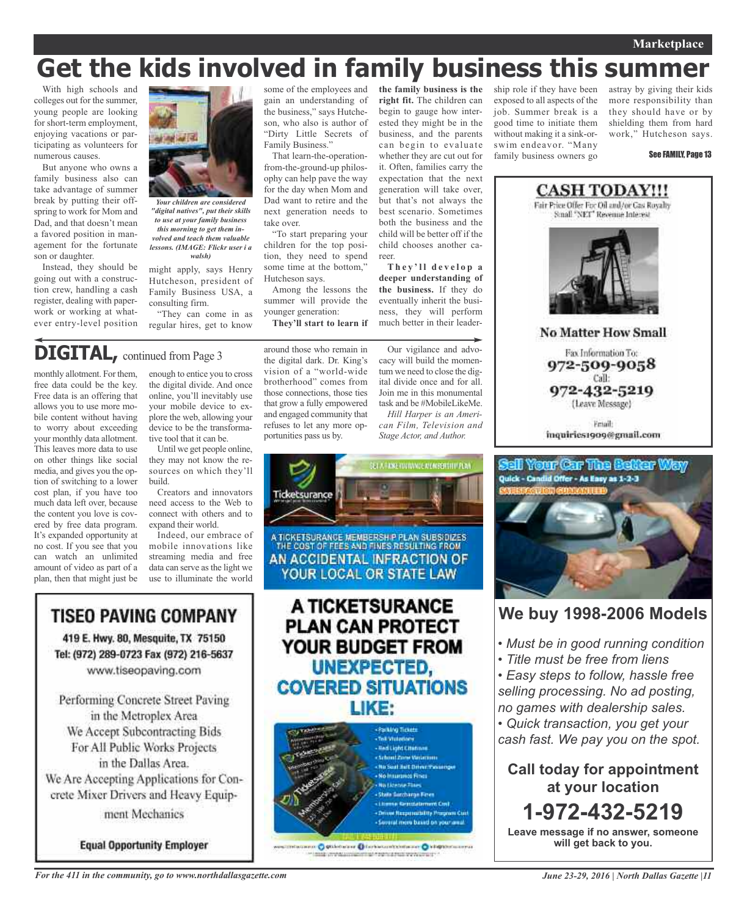#### **Marketplace**

## **Get the kids involved in family business this summer**

With high schools and colleges out for the summer, young people are looking for short-term employment, enjoying vacations or participating as volunteers for numerous causes.

But anyone who owns a family business also can take advantage of summer break by putting their offspring to work for Mom and Dad, and that doesn't mean a favored position in management for the fortunate son or daughter.

Instead, they should be going out with a construction crew, handling a cash register, dealing with paperwork or working at whatever entry-level position



*Your children are considered "digital natives", put their skills to use at your family business this morning to get them involved and teach them valuable lessons. (IMAGE: Flickr user i a walsh)*

might apply, says Henry Hutcheson, president of Family Business USA, a consulting firm.

"They can come in as regular hires, get to know

### **DIGITAL,** continued from Page <sup>3</sup>

TISEO PAVING COMPANY

419 E. Hwy. 80, Mesquite, TX 75150

Tel: (972) 289-0723 Fax (972) 216-5637

www.tiseopaving.com

Performing Concrete Street Paving

in the Metroplex Area

We Accept Subcontracting Bids

For All Public Works Projects

in the Dallas Area.

We Are Accepting Applications for Con-

crete Mixer Drivers and Heavy Equip-

ment Mechanics

**Equal Opportunity Employer** 

monthly allotment. For them, free data could be the key. Free data is an offering that allows you to use more mobile content without having to worry about exceeding your monthly data allotment. This leaves more data to use on other things like social media, and gives you the option of switching to a lower cost plan, if you have too much data left over, because the content you love is covered by free data program. It's expanded opportunity at no cost. If you see that you can watch an unlimited amount of video as part of a plan, then that might just be

enough to entice you to cross the digital divide. And once online, you'll inevitably use your mobile device to explore the web, allowing your device to be the transformative tool that it can be.

Until we get people online, they may not know the resources on which they'll build.

Creators and innovators need access to the Web to connect with others and to expand their world.

Indeed, our embrace of mobile innovations like streaming media and free data can serve as the light we use to illuminate the world

some of the employees and gain an understanding of the business," says Hutcheson, who also is author of "Dirty Little Secrets of Family Business."

That learn-the-operationfrom-the-ground-up philosophy can help pave the way for the day when Mom and Dad want to retire and the next generation needs to take over.

"To start preparing your children for the top position, they need to spend some time at the bottom," Hutcheson says.

Among the lessons the summer will provide the younger generation:

**They'll start to learn if**

around those who remain in the digital dark. Dr. King's vision of a "world-wide brotherhood" comes from those connections, those ties that grow a fully empowered and engaged community that refuses to let any more opportunities pass us by.

**the family business is the right fit.** The children can begin to gauge how interested they might be in the business, and the parents can begin to evaluate whether they are cut out for it. Often, families carry the expectation that the next generation will take over, but that's not always the best scenario. Sometimes both the business and the child will be better off if the child chooses another ca-

reer. **T h e y ' l l d e v e l o p a deeper understanding of the business.** If they do eventually inherit the business, they will perform much better in their leader-

Our vigilance and advocacy will build the momentum we need to close the digital divide once and for all. Join me in this monumental task and be #MobileLikeMe.

*Hill Harper is an American Film, Television and Stage Actor, and Author.*



**SORIE O SUMMER DISPARATION OF O HISTORIALITY COMMAND Logic Program & Production Composition** 

ship role if they have been exposed to all aspects of the job. Summer break is a good time to initiate them without making it a sink-orswim endeavor. "Many family business owners go astray by giving their kids more responsibility than they should have or by shielding them from hard work," Hutcheson says.

See FAMILY, Page 13



Fax Information To: 972-509-9058 Call: 972-432-5219

(Leave Message)

Friail: inquiries1909@gmail.com



### **We buy 1998-2006 Models**

*• Must be in good running condition*

*• Title must be free from liens*

*• Easy steps to follow, hassle free selling processing. No ad posting, no games with dealership sales. • Quick transaction, you get your cash fast. We pay you on the spot.*

**Call today for appointment at your location 1-972-432-5219 Leave message if no answer, someone will get back to you.**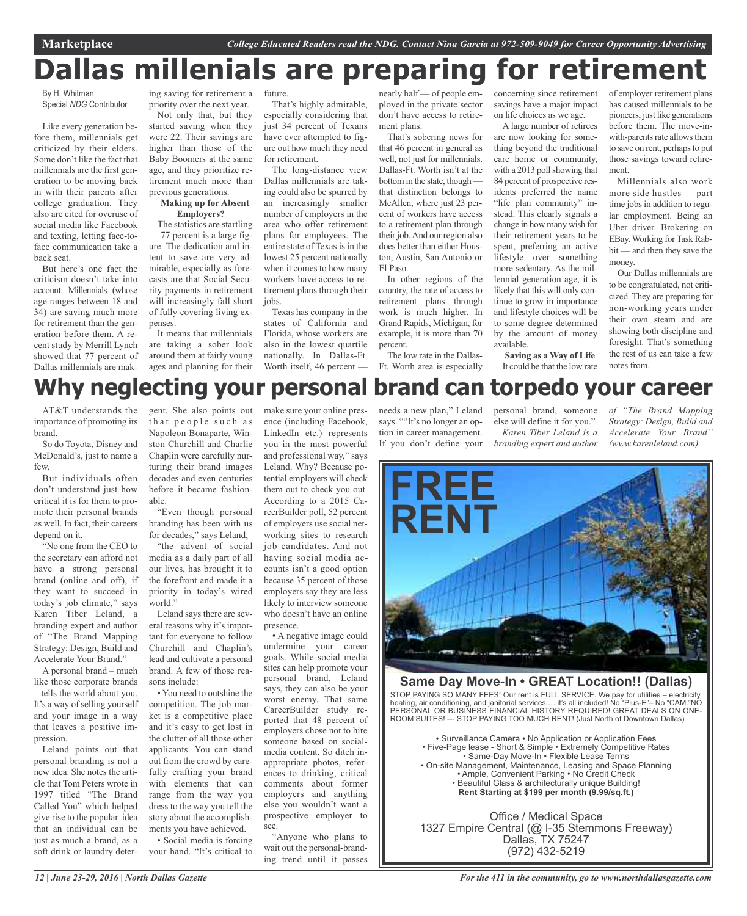## **Pallas millenials are preparing for retirements**

#### By H. Whitman Special *NDG* Contributor

Like every generation before them, millennials get criticized by their elders. Some don't like the fact that millennials are the first generation to be moving back in with their parents after college graduation. They also are cited for overuse of social media like Facebook and texting, letting face-toface communication take a back seat.

But here's one fact the criticism doesn't take into account: Millennials (whose age ranges between 18 and 34) are saving much more for retirement than the generation before them. A recent study by Merrill Lynch showed that 77 percent of Dallas millennials are mak-

ing saving for retirement a priority over the next year. Not only that, but they

started saving when they were 22. Their savings are higher than those of the Baby Boomers at the same age, and they prioritize retirement much more than previous generations.

#### **Making up for Absent Employers?**

The statistics are startling — 77 percent is a large figure. The dedication and intent to save are very admirable, especially as forecasts are that Social Security payments in retirement will increasingly fall short of fully covering living expenses.

It means that millennials are taking a sober look around them at fairly young ages and planning for their

future. That's highly admirable, especially considering that

just 34 percent of Texans have ever attempted to figure out how much they need for retirement.

The long-distance view Dallas millennials are taking could also be spurred by an increasingly smaller number of employers in the area who offer retirement plans for employees. The entire state of Texas is in the lowest 25 percent nationally when it comes to how many workers have access to retirement plans through their jobs.

Texas has company in the states of California and Florida, whose workers are also in the lowest quartile nationally. In Dallas-Ft. Worth itself, 46 percent -

nearly half — of people employed in the private sector don't have access to retirement plans.

That's sobering news for that 46 percent in general as well, not just for millennials. Dallas-Ft. Worth isn't at the bottom in the state, though that distinction belongs to McAllen, where just 23 percent of workers have access to a retirement plan through their job.And our region also does better than either Houston, Austin, San Antonio or El Paso.

In other regions of the country, the rate of access to retirement plans through work is much higher. In Grand Rapids, Michigan, for example, it is more than 70 percent.

The low rate in the Dallas-Ft. Worth area is especially

concerning since retirement savings have a major impact on life choices as we age.

A large number of retirees are now looking for something beyond the traditional care home or community, with a 2013 poll showing that 84 percent of prospective residents preferred the name "life plan community" instead. This clearly signals a change in how many wish for their retirement years to be spent, preferring an active lifestyle over something more sedentary. As the millennial generation age, it is likely that this will only continue to grow in importance and lifestyle choices will be to some degree determined by the amount of money available.

of employer retirement plans has caused millennials to be pioneers, just like generations before them. The move-inwith-parents rate allows them to save on rent, perhaps to put those savings toward retirement.

Millennials also work more side hustles — part time jobs in addition to regular employment. Being an Uber driver. Brokering on EBay. Working for Task Rabbit — and then they save the money.

Our Dallas millennials are to be congratulated, not criticized. They are preparing for non-working years under their own steam and are showing both discipline and foresight. That's something the rest of us can take a few notes from.

## **Why neglecting your personal brand can torpedo your career**

AT&T understands the importance of promoting its brand.

So do Toyota, Disney and McDonald's, just to name a few.

But individuals often don't understand just how critical it is for them to promote their personal brands as well. In fact, their careers depend on it.

"No one from the CEO to the secretary can afford not have a strong personal brand (online and off), if they want to succeed in today's job climate," says Karen Tiber Leland, a branding expert and author of "The Brand Mapping Strategy: Design, Build and Accelerate Your Brand."

A personal brand – much like those corporate brands – tells the world about you. It's a way of selling yourself and your image in a way that leaves a positive impression.

Leland points out that personal branding is not a new idea. She notes the article that Tom Peters wrote in 1997 titled "The Brand Called You" which helped give rise to the popular idea that an individual can be just as much a brand, as a soft drink or laundry detergent. She also points out that people such as Napoleon Bonaparte, Winston Churchill and Charlie Chaplin were carefully nurturing their brand images decades and even centuries before it became fashionable.

"Even though personal branding has been with us for decades," says Leland,

"the advent of social media as a daily part of all our lives, has brought it to the forefront and made it a priority in today's wired world."

Leland says there are several reasons why it's important for everyone to follow Churchill and Chaplin's lead and cultivate a personal brand. A few of those reasons include:

• You need to outshine the competition. The job market is a competitive place and it's easy to get lost in the clutter of all those other applicants. You can stand out from the crowd by carefully crafting your brand with elements that can range from the way you dress to the way you tell the story about the accomplishments you have achieved. • Social media is forcing

your hand. "It's critical to

make sure your online presence (including Facebook, LinkedIn etc.) represents you in the most powerful and professional way," says Leland. Why? Because potential employers will check them out to check you out. According to a 2015 CareerBuilder poll, 52 percent of employers use social networking sites to research job candidates. And not having social media accounts isn't a good option because 35 percent of those employers say they are less likely to interview someone who doesn't have an online presence.

• A negative image could undermine your career goals. While social media sites can help promote your personal brand, Leland says, they can also be your worst enemy. That same CareerBuilder study reported that 48 percent of employers chose not to hire someone based on socialmedia content. So ditch inappropriate photos, references to drinking, critical comments about former employers and anything else you wouldn't want a prospective employer to see.

"Anyone who plans to wait out the personal-branding trend until it passes needs a new plan," Leland says. ""It's no longer an option in career management. If you don't define your

personal brand, someone else will define it for you." *Karen Tiber Leland is a branding expert and author*

**Saving as a Way of Life** It could be that the low rate

> *of "The Brand Mapping Strategy: Design, Build and Accelerate Your Brand" (www.karenleland.com).*



#### **Same Day Move-In • GREAT Location!! (Dallas)** STOP PAYING SO MANY FEES! Our rent is FULL SERVICE. We pay for utilities – electricity, heating, air conditioning, and janitorial services … it's all included! No "Plus-E"– No "CAM."NO

PERSONAL OR BUSINESS FINANCIAL HISTORY REQUIRED! GREAT DEALS ON ONE-

ROOM SUITES! --- STOP PAYING TOO MUCH RENT! (Just North of Downtown Dallas) • Surveillance Camera • No Application or Application Fees • Five-Page lease - Short & Simple • Extremely Competitive Rates • Same-Day Move-In • Flexible Lease Terms • On-site Management, Maintenance, Leasing and Space Planning • Ample, Convenient Parking • No Credit Check • Beautiful Glass & architecturally unique Building!

**Rent Starting at \$199 per month (9.99/sq.ft.)**

Office / Medical Space 1327 Empire Central (@ I-35 Stemmons Freeway) Dallas, TX 75247 (972) 432-5219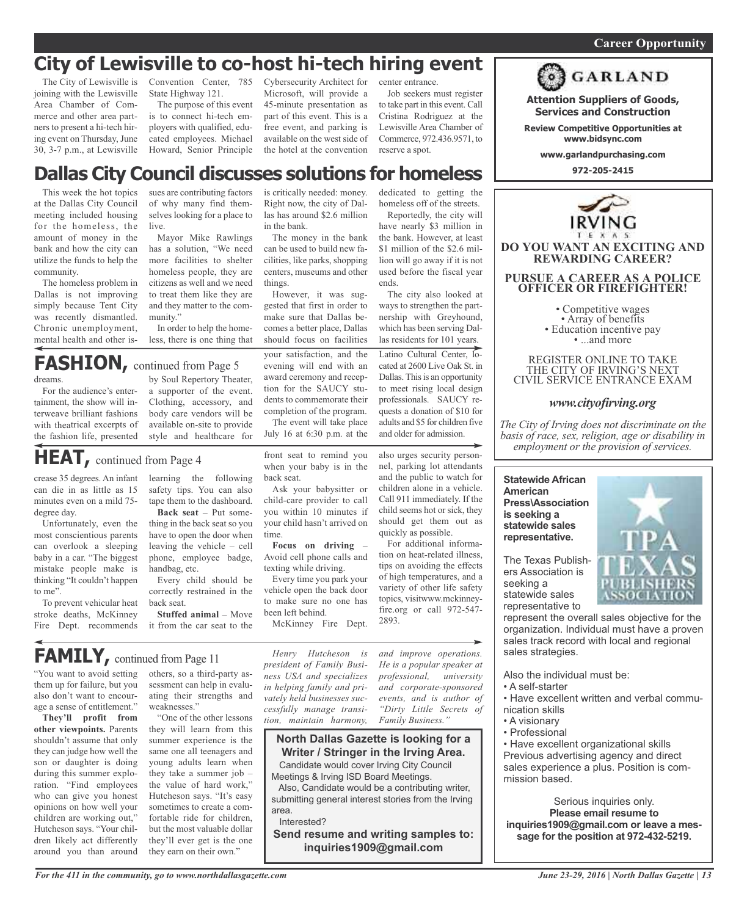### **City of Lewisville to co-host hi-tech hiring event**

The City of Lewisville is joining with the Lewisville Area Chamber of Commerce and other area partners to present a hi-tech hiring event on Thursday, June 30, 3-7 p.m., at Lewisville

Convention Center, 785 State Highway 121.

The purpose of this event is to connect hi-tech employers with qualified, educated employees. Michael Howard, Senior Principle Cybersecurity Architect for Microsoft, will provide a 45-minute presentation as part of this event. This is a free event, and parking is available on the west side of the hotel at the convention

Right now, the city of Dallas has around \$2.6 million

The money in the bank can be used to build new facilities, like parks, shopping centers, museums and other

However, it was suggested that first in order to make sure that Dallas becomes a better place, Dallas should focus on facilities

in the bank.

things.

your satisfaction, and the evening will end with an award ceremony and reception for the SAUCY students to commemorate their completion of the program. The event will take place July 16 at 6:30 p.m. at the

front seat to remind you when your baby is in the

Ask your babysitter or child-care provider to call you within 10 minutes if your child hasn't arrived on

**Focus on driving** – Avoid cell phone calls and texting while driving. Every time you park your vehicle open the back door to make sure no one has

McKinney Fire Dept.

back seat.

time.

Job seekers must register to take part in this event. Call Cristina Rodriguez at the Lewisville Area Chamber of Commerce, 972.436.9571, to reserve a spot.

homeless off of the streets. Reportedly, the city will have nearly \$3 million in the bank. However, at least \$1 million of the \$2.6 million will go away if it is not used before the fiscal year

Latino Cultural Center, located at 2600 Live Oak St. in Dallas. This is an opportunity to meet rising local design professionals. SAUCY requests <sup>a</sup> donation of \$10 for adults and \$5 for children five and older for admission.

The city also looked at ways to strengthen the partnership with Greyhound, which has been serving Dallas residents for 101 years.

ends.

also urges security personnel, parking lot attendants and the public to watch for children alone in a vehicle. Call 911 immediately. If the child seems hot or sick, they should get them out as quickly as possible.

For additional information on heat-related illness, tips on avoiding the effects of high temperatures, and a variety of other life safety topics, visitwww.mckinneyfire.org or call 972-547-

center entrance.



**Attention Suppliers of Goods, Services and Construction**

**Review Competitive Opportunities at www.bidsync.com**

**www.garlandpurchasing.com**

**972-205-2415**



REGISTER ONLINE TO TAKE THE CITY OF IRVING'S NEXT CIVIL SERVICE ENTRANCE EXAM

#### *www.cityofirving.org*

*The City of Irving does not discriminate on the basis of race, sex, religion, age or disability in employment or the provision of services.*

### **American Press\Association is seeking a statewide sales representative.**

**Statewide African**

The Texas Publishers Association is seeking a statewide sales representative to

represent the overall sales objective for the organization. Individual must have a proven sales track record with local and regional sales strategies.

Also the individual must be:

- A self-starter
- Have excellent written and verbal communication skills
- A visionary
- Professional

• Have excellent organizational skills Previous advertising agency and direct sales experience a plus. Position is commission based.

Serious inquiries only. **Please email resume to inquiries1909@gmail.com or leave a message for the position at 972-432-5219.**

#### **Dallas City Council discusses solutions for homeless** is critically needed: money. dedicated to getting the

This week the hot topics at the Dallas City Council meeting included housing for the homeless, the amount of money in the bank and how the city can utilize the funds to help the community.

The homeless problem in Dallas is not improving simply because Tent City was recently dismantled. Chronic unemployment, mental health and other issues are contributing factors of why many find themselves looking for a place to live.

Mayor Mike Rawlings has a solution, "We need more facilities to shelter homeless people, they are citizens as well and we need to treat them like they are and they matter to the community."

In order to help the homeless, there is one thing that

FASHION, continued from Page 5

dreams.

For the audience's entertainment, the show will interweave brilliant fashions with theatrical excerpts of the fashion life, presented

by Soul Repertory Theater, <sup>a</sup> supporter of the event. Clothing, accessory, and body care vendors will be available on-site to provide style and healthcare for

### **HEAT,** continued from Page <sup>4</sup>

crease 35 degrees. An infant can die in as little as 15 minutes even on a mild 75 degree day.

Unfortunately, even the most conscientious parents can overlook a sleeping baby in a car. "The biggest mistake people make is thinking "It couldn't happen to me".

To prevent vehicular heat stroke deaths, McKinney Fire Dept. recommends learning the following safety tips. You can also tape them to the dashboard. **Back seat** – Put some-

thing in the back seat so you have to open the door when leaving the vehicle – cell phone, employee badge, handbag, etc.

Every child should be correctly restrained in the back seat.

**Stuffed animal** – Move it from the car seat to the

### **FAMILY**, continued from Page 11

"You want to avoid setting them up for failure, but you also don't want to encourage a sense of entitlement."

**They'll profit from other viewpoints.** Parents shouldn't assume that only they can judge how well the son or daughter is doing during this summer exploration. "Find employees who can give you honest opinions on how well your children are working out," Hutcheson says. "Your children likely act differently around you than around others, so a third-party assessment can help in evaluating their strengths and weaknesses."

"One of the other lessons they will learn from this summer experience is the same one all teenagers and young adults learn when they take a summer job – the value of hard work," Hutcheson says. "It's easy sometimes to create a comfortable ride for children, but the most valuable dollar they'll ever get is the one they earn on their own."

*Henry Hutcheson is president of Family Business USA and specializes in helping family and privately held businesses successfully manage transition, maintain harmony,*

been left behind.

*and improve operations. He is a popular speaker at professional, university and corporate-sponsored events, and is author of "Dirty Little Secrets of Family Business."*

### **North Dallas Gazette is looking for a Writer / Stringer in the Irving Area.**

2893.

Candidate would cover Irving City Council Meetings & Irving ISD Board Meetings.

Also, Candidate would be a contributing writer, submitting general interest stories from the Irving area.

Interested?

**Send resume and writing samples to: inquiries1909@gmail.com**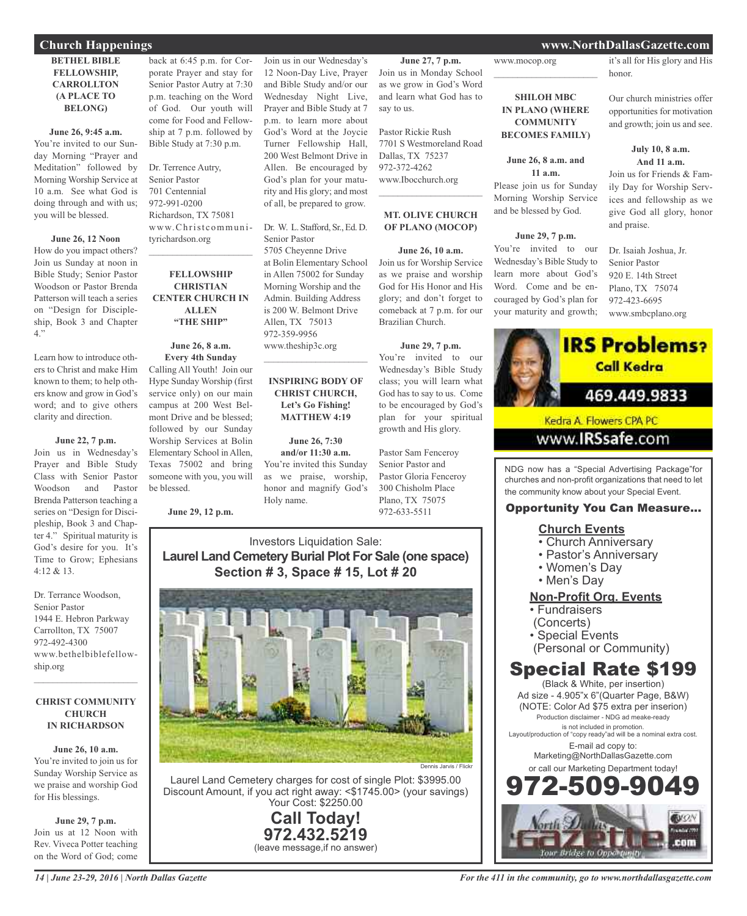### **Church Happenings www.NorthDallasGazette.com**

### **BETHEL BIBLE FELLOWSHIP, CARROLLTON (A PLACE TO BELONG)**

#### **June 26, 9:45 a.m.**

You're invited to our Sunday Morning "Prayer and Meditation" followed by Morning Worship Service at 10 a.m. See what God is doing through and with us; you will be blessed.

#### **June 26, 12 Noon**

How do you impact others? Join us Sunday at noon in Bible Study; Senior Pastor Woodson or Pastor Brenda Patterson will teach a series on "Design for Discipleship, Book 3 and Chapter 4."

Learn how to introduce others to Christ and make Him known to them; to help others know and grow in God's word; and to give others clarity and direction.

#### **June 22, 7 p.m.**

Join us in Wednesday's Prayer and Bible Study Class with Senior Pastor Woodson and Pastor Brenda Patterson teaching a series on "Design for Discipleship, Book 3 and Chapter 4." Spiritual maturity is God's desire for you. It's Time to Grow; Ephesians 4:12 & 13.

Dr. Terrance Woodson, Senior Pastor 1944 E. Hebron Parkway Carrollton, TX 75007 972-492-4300 www.bethelbiblefellowship.org

#### **CHRIST COMMUNITY CHURCH IN RICHARDSON**

 $\mathcal{L}_\text{max}$  , which is a set of the set of the set of the set of the set of the set of the set of the set of the set of the set of the set of the set of the set of the set of the set of the set of the set of the set of

**June 26, 10 a.m.** You're invited to join us for Sunday Worship Service as we praise and worship God for His blessings.

**June 29, 7 p.m.** Join us at 12 Noon with Rev. Viveca Potter teaching on the Word of God; come

back at 6:45 p.m. for Corporate Prayer and stay for Senior Pastor Autry at 7:30 p.m. teaching on the Word of God. Our youth will come for Food and Fellowship at 7 p.m. followed by Bible Study at 7:30 p.m.

Dr. Terrence Autry, Senior Pastor 701 Centennial 972-991-0200 Richardson, TX 75081 www.Christcommunityrichardson.org

### **FELLOWSHIP CHRISTIAN CENTER CHURCH IN ALLEN "THE SHIP"**

 $\mathcal{L}_\text{max}$  , which is a set of the set of the set of the set of the set of the set of the set of the set of the set of the set of the set of the set of the set of the set of the set of the set of the set of the set of

**June 26, 8 a.m. Every 4th Sunday** Calling All Youth! Join our Hype Sunday Worship (first service only) on our main campus at 200 West Belmont Drive and be blessed; followed by our Sunday Worship Services at Bolin Elementary School in Allen, Texas 75002 and bring someone with you, you will be blessed.

**June 29, 12 p.m.**

Join us in our Wednesday's 12 Noon-Day Live, Prayer and Bible Study and/or our Wednesday Night Live, Prayer and Bible Study at 7 p.m. to learn more about God's Word at the Joycie Turner Fellowship Hall, 200 West Belmont Drive in Allen. Be encouraged by God's plan for your maturity and His glory; and most of all, be prepared to grow.

Dr. W. L. Stafford, Sr., Ed. D. Senior Pastor 5705 Cheyenne Drive at Bolin Elementary School in Allen 75002 for Sunday Morning Worship and the Admin. Building Address is 200 W. Belmont Drive Allen, TX 75013 972-359-9956 www.theship3c.org  $\overline{\phantom{a}}$  , and the set of the set of the set of the set of the set of the set of the set of the set of the set of the set of the set of the set of the set of the set of the set of the set of the set of the set of the s

### **INSPIRING BODY OF CHRIST CHURCH, Let's Go Fishing! MATTHEW 4:19**

**June 26, 7:30 and/or 11:30 a.m.** You're invited this Sunday as we praise, worship, honor and magnify God's Holy name.

**June 27, 7 p.m.** Join us in Monday School as we grow in God's Word and learn what God has to say to us.

Pastor Rickie Rush 7701 S Westmoreland Road Dallas, TX 75237 972-372-4262 www.Ibocchurch.org  $\mathcal{L}$  , and the set of the set of the set of the set of the set of the set of the set of the set of the set of the set of the set of the set of the set of the set of the set of the set of the set of the set of the set

### **MT. OLIVE CHURCH OF PLANO (MOCOP)**

**June 26, 10 a.m.** Join us for Worship Service as we praise and worship God for His Honor and His glory; and don't forget to comeback at 7 p.m. for our Brazilian Church.

### **June 29, 7 p.m.**

You're invited to our Wednesday's Bible Study class; you will learn what God has to say to us. Come to be encouraged by God's plan for your spiritual growth and His glory.

Pastor Sam Fenceroy Senior Pastor and Pastor Gloria Fenceroy 300 Chisholm Place Plano, TX 75075 972-633-5511

### Investors Liquidation Sale: **Laurel Land Cemetery Burial Plot For Sale (one space) Section # 3, Space # 15, Lot # 20**



Laurel Land Cemetery charges for cost of single Plot: \$3995.00 Discount Amount, if you act right away: <\$1745.00> (your savings) Your Cost: \$2250.00

> **Call Today! 972.432.5219** (leave message,if no answer)

#### www.mocop.org  $\mathcal{L}_\text{max}$  , which is a set of the set of the set of the set of the set of the set of the set of the set of the set of the set of the set of the set of the set of the set of the set of the set of the set of the set of

### **SHILOH MBC IN PLANO (WHERE COMMUNITY BECOMES FAMILY)**

#### **June 26, 8 a.m. and 11 a.m.**

Please join us for Sunday Morning Worship Service and be blessed by God.

### **June 29, 7 p.m.**

You're invited to our Wednesday's Bible Study to learn more about God's Word. Come and be encouraged by God's plan for your maturity and growth; it's all for His glory and His honor.

Our church ministries offer opportunities for motivation and growth; join us and see.

### **July 10, 8 a.m. And 11 a.m.**

Join us for Friends & Family Day for Worship Services and fellowship as we give God all glory, honor and praise.

Dr. Isaiah Joshua, Jr. Senior Pastor 920 E. 14th Street Plano, TX 75074 972-423-6695 www.smbcplano.org



Kedra A. Flowers CPA PC

www.**IRSsafe**.com

NDG now has a "Special Advertising Package"for churches and non-profit organizations that need to let the community know about your Special Event.

### Opportunity You Can Measure...

### **Church Events**

- Church Anniversary
- Pastor's Anniversary
- Women's Day
- Men's Day

### **Non-Profit Org. Events**

- Fundraisers
- (Concerts)
- Special Events
- (Personal or Community)

### Special Rate \$199

(Black & White, per insertion) Ad size - 4.905"x 6"(Quarter Page, B&W) (NOTE: Color Ad \$75 extra per inserion) Production disclaimer - NDG ad meake-ready is not included in promotion. Layout/production of "copy ready"ad will be a nominal extra cost. E-mail ad copy to: Marketing@NorthDallasGazette.com or call our Marketing Department today! 972-509-9049

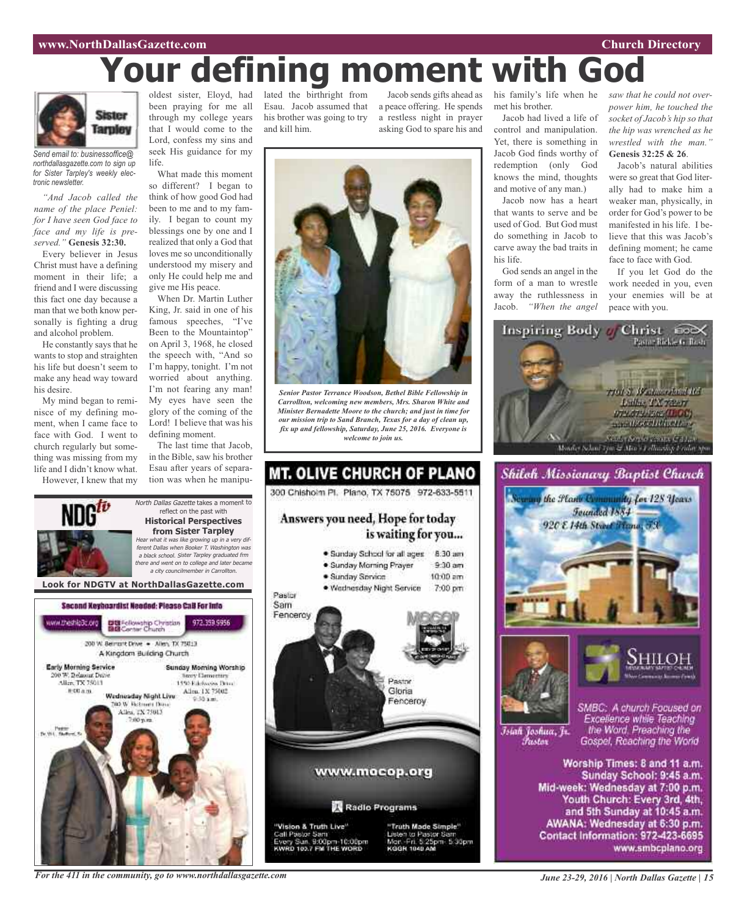#### **www.NorthDallasGazette.com Church Directory**

# **Your defining moment with God**



*Send email to: businessoffice@ northdallasgazette.com to sign up for Sister Tarpley's weekly electronic newsletter.*

*"And Jacob called the name of the place Peniel: for I have seen God face to face and my life is preserved."* **Genesis 32:30.**

Every believer in Jesus Christ must have a defining moment in their life; a friend and I were discussing this fact one day because a man that we both know personally is fighting a drug and alcohol problem.

He constantly says that he wants to stop and straighten his life but doesn't seem to make any head way toward his desire.

My mind began to reminisce of my defining moment, when I came face to face with God. I went to church regularly but something was missing from my life and I didn't know what.

However, I knew that my

oldest sister, Eloyd, had been praying for me all through my college years that I would come to the Lord, confess my sins and seek His guidance for my life.

What made this moment so different? I began to think of how good God had been to me and to my family. I began to count my blessings one by one and I realized that only a God that loves me so unconditionally understood my misery and only He could help me and give me His peace.

When Dr. Martin Luther King, Jr. said in one of his famous speeches, "I've Been to the Mountaintop" on April 3, 1968, he closed the speech with, "And so I'm happy, tonight. I'm not worried about anything. I'm not fearing any man! My eyes have seen the glory of the coming of the Lord! I believe that was his defining moment.

The last time that Jacob, in the Bible, saw his brother Esau after years of separation was when he manipu-

North Dallas Gazette takes a moment to reflect on the past with **Historical Perspectives from Sister Tarpley** Hear what it was like growing up in <sup>a</sup> very dif-

lated the birthright from Esau. Jacob assumed that his brother was going to try and kill him.

Jacob sends gifts ahead as a peace offering. He spends a restless night in prayer asking God to spare his and



*Senior Pastor Terrance Woodson, Bethel Bible Fellowship in Carrollton, welcoming new members, Mrs. Sharon White and Minister Bernadette Moore to the church; and just in time for our mission trip to Sand Branch, Texas for a day of clean up, fix up and fellowship, Saturday, June 25, 2016. Everyone is welcome to join us.*



his family's life when he met his brother.

Jacob had lived a life of control and manipulation. Yet, there is something in Jacob God finds worthy of redemption (only God knows the mind, thoughts and motive of any man.)

Jacob now has a heart that wants to serve and be used of God. But God must do something in Jacob to carve away the bad traits in his life.

God sends an angel in the form of a man to wrestle away the ruthlessness in Jacob. *"When the angel*

*saw that he could not overpower him, he touched the socket of Jacob's hip so that the hip was wrenched as he wrestled with the man."* **Genesis 32:25 & 26**.

Jacob's natural abilities were so great that God literally had to make him a weaker man, physically, in order for God's power to be manifested in his life. I believe that this was Jacob's defining moment; he came face to face with God.

If you let God do the work needed in you, even your enemies will be at peace with you.





Īsiah Joshua, Jr. Fustor

the Word. Preaching the Gospel, Reaching the World

Worship Times: 8 and 11 a.m. Sunday School: 9:45 a.m. Mid-week: Wednesday at 7:00 p.m. Youth Church: Every 3rd, 4th, and 5th Sunday at 10:45 a.m. AWANA: Wednesday at 6:30 p.m. Contact Information: 972-423-6695 www.smbcplano.org

ferent Dallas when Booker T. Washington was <sup>a</sup> black school. Sister Tarpley graduated frm there and went on to college and later became <sup>a</sup> city councilmember in Carrollton. **Look for NDGTV at NorthDallasGazette.com**Second Keyboardist Needed: Please CaB For Info DE Fellowship Christian<br>BIB Center Church ww.theshlp3c.org 972.359.9956 200 W. Bernsht Drive . - Allen, TX 75013 A Kingdom Building Church **Early Morning Service** Sunday Morning Worship 00 W. Belmont Drive **Nexty Elementary** Alice TX 75013 1450 Ethnologies Drug-Allen, 1X 75002 **图 00 点 图** Wadnasday Night Live **DO W. Retroem Days** Allen, TX 75013

*For the 411 in the community, go to www.northdallasgazette.com*